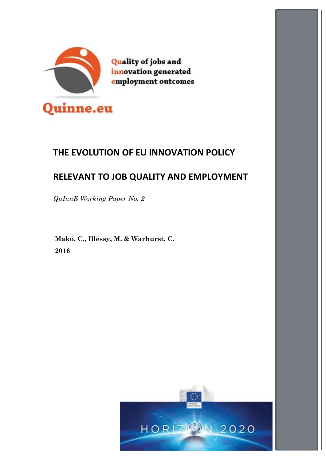

Quality of jobs and innovation generated employment outcomes

# **THE EVOLUTION OF EU INNOVATION POLICY**

# **RELEVANT TO JOB QUALITY AND EMPLOYMENT**

*QuInnE Working Paper No. 2*

**Makó, C., Illéssy, M. & Warhurst, C. 2016**

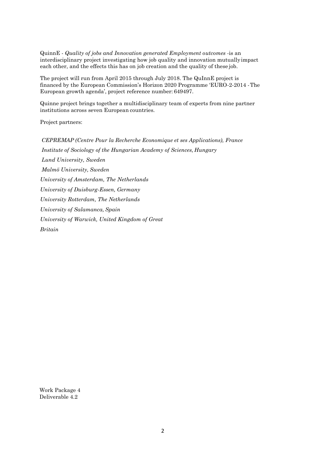QuinnE - *Quality of jobs and Innovation generated Employment outcomes* -is an interdisciplinary project investigating how job quality and innovation mutuallyimpact each other, and the effects this has on job creation and the quality of these job.

The project will run from April 2015 through July 2018. The QuInnE project is financed by the European Commission's Horizon 2020 Programme 'EURO-2-2014 -The European growth agenda', project reference number: 649497.

Quinne project brings together a multidisciplinary team of experts from nine partner institutions across seven European countries.

Project partners:

*CEPREMAP (Centre Pour la Recherche Economique et ses Applications), France Institute of Sociology of the Hungarian Academy of Sciences, Hungary Lund University, Sweden Malmö University, Sweden University of Amsterdam, The Netherlands University of Duisburg-Essen, Germany University Rotterdam, The Netherlands University of Salamanca, Spain University of Warwick, United Kingdom of Great Britain*

Work Package 4 Deliverable 4.2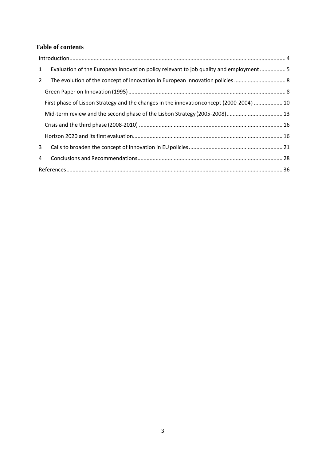## **Table of contents**

| Evaluation of the European innovation policy relevant to job quality and employment  5<br>$\mathbf{1}$ |  |
|--------------------------------------------------------------------------------------------------------|--|
| $2^{\circ}$                                                                                            |  |
|                                                                                                        |  |
| First phase of Lisbon Strategy and the changes in the innovation concept (2000-2004)  10               |  |
| Mid-term review and the second phase of the Lisbon Strategy (2005-2008) 13                             |  |
|                                                                                                        |  |
|                                                                                                        |  |
| 3                                                                                                      |  |
| $\overline{4}$                                                                                         |  |
|                                                                                                        |  |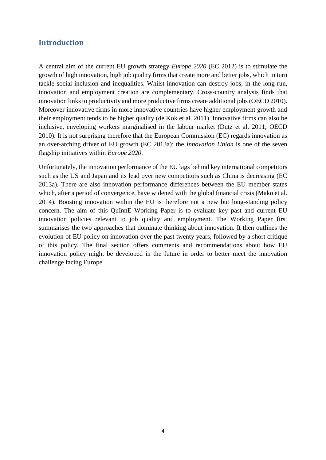## <span id="page-3-0"></span>**Introduction**

A central aim of the current EU growth strategy *Europe 2020* (EC 2012) is to stimulate the growth of high innovation, high job quality firms that create more and better jobs, which in turn tackle social inclusion and inequalities. Whilst innovation can destroy jobs, in the long-run, innovation and employment creation are complementary. Cross-country analysis finds that innovation links to productivity and more productive firms create additional jobs (OECD 2010). Moreover innovative firms in more innovative countries have higher employment growth and their employment tends to be higher quality (de Kok et al. 2011). Innovative firms can also be inclusive, enveloping workers marginalised in the labour market (Dutz et al. 2011; OECD 2010). It is not surprising therefore that the European Commission (EC) regards innovation as an over-arching driver of EU growth (EC 2013a): the *Innovation Union* is one of the seven flagship initiatives within *Europe 2020*.

Unfortunately, the innovation performance of the EU lags behind key international competitors such as the US and Japan and its lead over new competitors such as China is decreasing (EC 2013a). There are also innovation performance differences between the EU member states which, after a period of convergence, have widened with the global financial crisis (Mako et al. 2014). Boosting innovation within the EU is therefore not a new but long-standing policy concern. The aim of this QuInnE Working Paper is to evaluate key past and current EU innovation policies relevant to job quality and employment. The Working Paper first summarises the two approaches that dominate thinking about innovation. It then outlines the evolution of EU policy on innovation over the past twenty years, followed by a short critique of this policy. The final section offers comments and recommendations about how EU innovation policy might be developed in the future in order to better meet the innovation challenge facing Europe.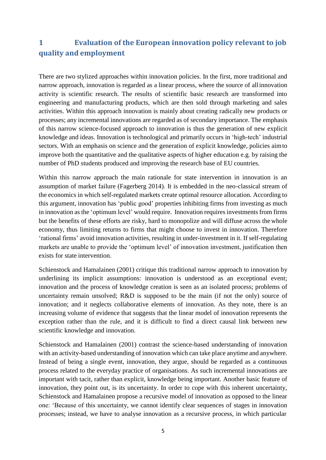## <span id="page-4-0"></span>**1 Evaluation of the European innovation policy relevant to job quality and employment**

There are two stylized approaches within innovation policies. In the first, more traditional and narrow approach, innovation is regarded as a linear process, where the source of allinnovation activity is scientific research. The results of scientific basic research are transformed into engineering and manufacturing products, which are then sold through marketing and sales activities. Within this approach innovation is mainly about creating radically new products or processes; any incremental innovations are regarded as of secondary importance. The emphasis of this narrow science-focused approach to innovation is thus the generation of new explicit knowledge and ideas. Innovation is technological and primarily occurs in 'high-tech' industrial sectors. With an emphasis on science and the generation of explicit knowledge, policies aimto improve both the quantitative and the qualitative aspects of higher education e.g. by raising the number of PhD students produced and improving the research base of EU countries.

Within this narrow approach the main rationale for state intervention in innovation is an assumption of market failure (Fagerberg 2014). It is embedded in the neo-classical stream of the economics in which self-regulated markets create optimal resource allocation. According to this argument, innovation has 'public good' properties inhibiting firms from investing as much in innovation as the 'optimum level' would require. Innovation requires investments from firms but the benefits of these efforts are risky, hard to monopolize and will diffuse across the whole economy, thus limiting returns to firms that might choose to invest in innovation. Therefore 'rational firms' avoid innovation activities, resulting in under-investment in it. If self-regulating markets are unable to provide the 'optimum level' of innovation investment, justification then exists for state intervention.

Schienstock and Hamalainen (2001) critique this traditional narrow approach to innovation by underlining its implicit assumptions: innovation is understood as an exceptional event; innovation and the process of knowledge creation is seen as an isolated process; problems of uncertainty remain unsolved; R&D is supposed to be the main (if not the only) source of innovation; and it neglects collaborative elements of innovation. As they note, there is an increasing volume of evidence that suggests that the linear model of innovation represents the exception rather than the rule, and it is difficult to find a direct causal link between new scientific knowledge and innovation.

Schienstock and Hamalainen (2001) contrast the science-based understanding of innovation with an activity-based understanding of innovation which can take place anytime and anywhere. Instead of being a single event, innovation, they argue, should be regarded as a continuous process related to the everyday practice of organisations. As such incremental innovations are important with tacit, rather than explicit, knowledge being important. Another basic feature of innovation, they point out, is its uncertainty. In order to cope with this inherent uncertainty, Schienstock and Hamalainen propose a recursive model of innovation as opposed to the linear one: 'Because of this uncertainty, we cannot identify clear sequences of stages in innovation processes; instead, we have to analyse innovation as a recursive process, in which particular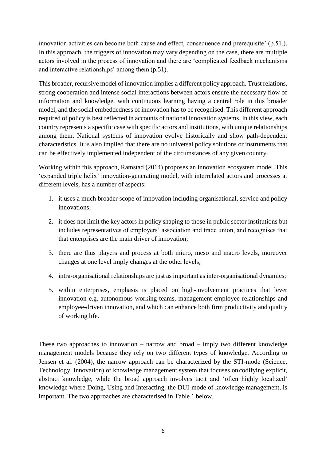innovation activities can become both cause and effect, consequence and prerequisite' (p.51.). In this approach, the triggers of innovation may vary depending on the case, there are multiple actors involved in the process of innovation and there are 'complicated feedback mechanisms and interactive relationships' among them (p.51).

This broader, recursive model of innovation implies a different policy approach. Trust relations, strong cooperation and intense social interactions between actors ensure the necessary flow of information and knowledge, with continuous learning having a central role in this broader model, and the social embeddedness of innovation has to be recognised. This different approach required of policy is best reflected in accounts of national innovation systems. In this view, each country represents a specific case with specific actors and institutions, with unique relationships among them. National systems of innovation evolve historically and show path-dependent characteristics. It is also implied that there are no universal policy solutions or instruments that can be effectively implemented independent of the circumstances of any given country.

Working within this approach, Ramstad (2014) proposes an innovation ecosystem model. This 'expanded triple helix' innovation-generating model, with interrelated actors and processes at different levels, has a number of aspects:

- 1. it uses a much broader scope of innovation including organisational, service and policy innovations;
- 2. it does not limit the key actors in policy shaping to those in public sector institutions but includes representatives of employers' association and trade union, and recognises that that enterprises are the main driver of innovation;
- 3. there are thus players and process at both micro, meso and macro levels, moreover changes at one level imply changes at the other levels;
- 4. intra-organisational relationships are just as important as inter-organisational dynamics;
- 5. within enterprises, emphasis is placed on high-involvement practices that lever innovation e.g. autonomous working teams, management-employee relationships and employee-driven innovation, and which can enhance both firm productivity and quality of working life.

These two approaches to innovation – narrow and broad – imply two different knowledge management models because they rely on two different types of knowledge. According to Jensen et al. (2004), the narrow approach can be characterized by the STI-mode (Science, Technology, Innovation) of knowledge management system that focuses on codifying explicit, abstract knowledge, while the broad approach involves tacit and 'often highly localized' knowledge where Doing, Using and Interacting, the DUI-mode of knowledge management, is important. The two approaches are characterised in Table 1 below.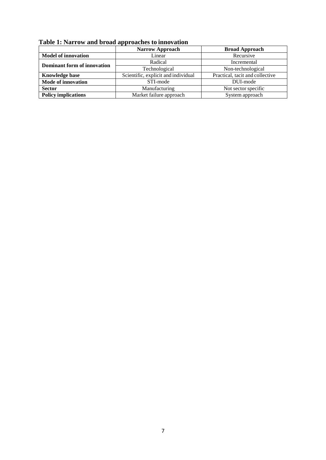| Table 1: Narrow and broad approaches to innovation |  |  |
|----------------------------------------------------|--|--|
|----------------------------------------------------|--|--|

|                                      | <b>Narrow Approach</b>              | <b>Broad Approach</b>           |  |
|--------------------------------------|-------------------------------------|---------------------------------|--|
| <b>Model of innovation</b><br>Linear |                                     | Recursive                       |  |
| Dominant form of innovation          | Radical                             | Incremental                     |  |
|                                      | Technological                       | Non-technological               |  |
| <b>Knowledge base</b>                | Scientific, explicit and individual | Practical, tacit and collective |  |
| <b>Mode of innovation</b>            | STI-mode                            | DUI-mode                        |  |
| <b>Sector</b>                        | Manufacturing                       | Not sector specific             |  |
| <b>Policy implications</b>           | Market failure approach             | System approach                 |  |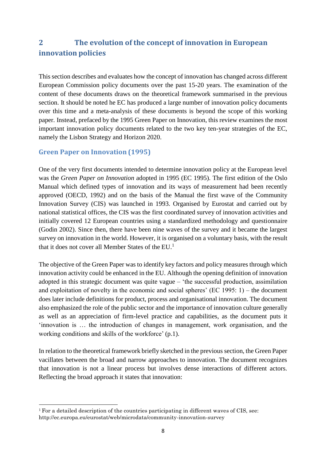## <span id="page-7-0"></span>**2 The evolution of the concept of innovation in European innovation policies**

This section describes and evaluates how the concept of innovation has changed across different European Commission policy documents over the past 15-20 years. The examination of the content of these documents draws on the theoretical framework summarised in the previous section. It should be noted he EC has produced a large number of innovation policy documents over this time and a meta-analysis of these documents is beyond the scope of this working paper. Instead, prefaced by the 1995 Green Paper on Innovation, this review examines the most important innovation policy documents related to the two key ten-year strategies of the EC, namely the Lisbon Strategy and Horizon 2020.

### <span id="page-7-1"></span>**Green Paper on Innovation (1995)**

One of the very first documents intended to determine innovation policy at the European level was the *Green Paper on Innovation* adopted in 1995 (EC 1995). The first edition of the Oslo Manual which defined types of innovation and its ways of measurement had been recently approved (OECD, 1992) and on the basis of the Manual the first wave of the Community Innovation Survey (CIS) was launched in 1993. Organised by Eurostat and carried out by national statistical offices, the CIS was the first coordinated survey of innovation activities and initially covered 12 European countries using a standardized methodology and questionnaire (Godin 2002). Since then, there have been nine waves of the survey and it became the largest survey on innovation in the world. However, it is organised on a voluntary basis, with the result that it does not cover all Member States of the  $EU^1$  $EU^1$ .

The objective of the Green Paper was to identify key factors and policy measures through which innovation activity could be enhanced in the EU. Although the opening definition of innovation adopted in this strategic document was quite vague – 'the successful production, assimilation and exploitation of novelty in the economic and social spheres' (EC 1995: 1) – the document does later include definitions for product, process and organisational innovation. The document also emphasized the role of the public sector and the importance of innovation culture generally as well as an appreciation of firm-level practice and capabilities, as the document puts it 'innovation is … the introduction of changes in management, work organisation, and the working conditions and skills of the workforce' (p.1).

In relation to the theoretical framework briefly sketched in the previous section, the Green Paper vacillates between the broad and narrow approaches to innovation. The document recognizes that innovation is not a linear process but involves dense interactions of different actors. Reflecting the broad approach it states that innovation:

<span id="page-7-2"></span><sup>&</sup>lt;sup>1</sup> For a detailed description of the countries participating in different waves of CIS, see: <http://ec.europa.eu/eurostat/web/microdata/community-innovation-survey>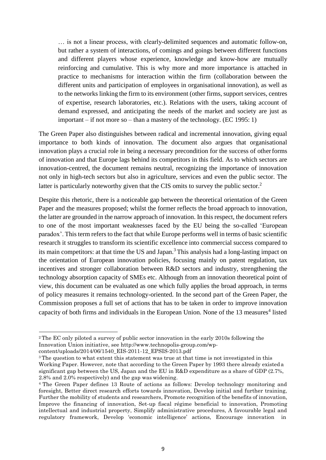… is not a linear process, with clearly-delimited sequences and automatic follow-on, but rather a system of interactions, of comings and goings between different functions and different players whose experience, knowledge and know-how are mutually reinforcing and cumulative. This is why more and more importance is attached in practice to mechanisms for interaction within the firm (collaboration between the different units and participation of employees in organisational innovation), as well as to the networks linking the firm to its environment (other firms, support services, centres of expertise, research laboratories, etc.). Relations with the users, taking account of demand expressed, and anticipating the needs of the market and society are just as important – if not more so – than a mastery of the technology. (EC 1995: 1)

The Green Paper also distinguishes between radical and incremental innovation, giving equal importance to both kinds of innovation. The document also argues that organisational innovation plays a crucial role in being a necessary precondition for the success of otherforms of innovation and that Europe lags behind its competitors in this field. As to which sectors are innovation-centred, the document remains neutral, recognizing the importance of innovation not only in high-tech sectors but also in agriculture, services and even the public sector. The latter is particularly noteworthy given that the CIS omits to survey the public sector.<sup>[2](#page-8-0)</sup>

Despite this rhetoric, there is a noticeable gap between the theoretical orientation of the Green Paper and the measures proposed; whilst the former reflects the broad approach to innovation, the latter are grounded in the narrow approach of innovation. In thisrespect, the document refers to one of the most important weaknesses faced by the EU being the so-called 'European paradox'. This term refers to the fact that while Europe performs well in terms of basic scientific research it struggles to transform its scientific excellence into commercial success compared to its main competitors: at that time the US and Japan.[3](#page-8-1) This analysis had a long-lasting impact on the orientation of European innovation policies, focusing mainly on patent regulation, tax incentives and stronger collaboration between R&D sectors and industry, strengthening the technology absorption capacity of SMEs etc. Although from an innovation theoretical point of view, this document can be evaluated as one which fully applies the broad approach, in terms of policy measures it remains technology-oriented. In the second part of the Green Paper, the Commission proposes a full set of actions that has to be taken in order to improve innovation capacity of both firms and individuals in the European Union. None of the 13 measures<sup>[4](#page-8-2)</sup> listed

<span id="page-8-0"></span><sup>2</sup>The EC only piloted a survey of public sector innovation in the early 2010s following the Innovation Union initiative, see [http://www.technopolis-group.com/wp](http://www.technopolis-group.com/wp-)content/uploads/2014/06/1540\_EIS-2011-12\_EPSIS-2013.pdf

<span id="page-8-1"></span><sup>3</sup>The question to what extent this statement was true at that time is not investigated in this Working Paper. However, note that according to the Green Paper by 1993 there already existed a significant gap between the US, Japan and the EU in R&D expenditure as a share of GDP (2.7%, 2.8% and 2.0% respectively) and the gap was widening.

<span id="page-8-2"></span><sup>4</sup>The Green Paper defines 13 Route of actions as follows: Develop technology monitoring and foresight, Better direct research efforts towards innovation, Develop initial and further training, Further the mobility of students and researchers, Promote recognition of the benefits of innovation, Improve the financing of innovation, Set-up fiscal régime beneficial to innovation, Promoting intellectual and industrial property, Simplify administrative procedures, A favourable legal and regulatory framework, Develop 'economic intelligence' actions, Encourage innovation in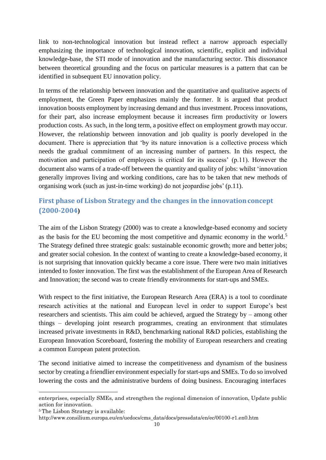link to non-technological innovation but instead reflect a narrow approach especially emphasizing the importance of technological innovation, scientific, explicit and individual knowledge-base, the STI mode of innovation and the manufacturing sector. This dissonance between theoretical grounding and the focus on particular measures is a pattern that can be identified in subsequent EU innovation policy.

In terms of the relationship between innovation and the quantitative and qualitative aspects of employment, the Green Paper emphasizes mainly the former. It is argued that product innovation boosts employment by increasing demand and thus investment. Process innovations, for their part, also increase employment because it increases firm productivity or lowers production costs. As such, in the long term, a positive effect on employment growth may occur. However, the relationship between innovation and job quality is poorly developed in the document. There is appreciation that 'by its nature innovation is a collective process which needs the gradual commitment of an increasing number of partners. In this respect, the motivation and participation of employees is critical for its success' (p.11). However the document also warns of a trade-off between the quantity and quality of jobs: whilst 'innovation generally improves living and working conditions, care has to be taken that new methods of organising work (such as just-in-time working) do not jeopardise jobs' (p.11).

## <span id="page-9-0"></span>**First phase of Lisbon Strategy and the changes in the innovationconcept (2000-2004)**

The aim of the Lisbon Strategy (2000) was to create a knowledge-based economy and society as the basis for the EU becoming the most competitive and dynamic economy in the world.<sup>[5](#page-9-1)</sup> The Strategy defined three strategic goals: sustainable economic growth; more and betterjobs; and greater social cohesion. In the context of wanting to create a knowledge-based economy, it is not surprising that innovation quickly became a core issue. There were two main initiatives intended to foster innovation. The first was the establishment of the European Area of Research and Innovation; the second was to create friendly environments for start-ups and SMEs.

With respect to the first initiative, the European Research Area (ERA) is a tool to coordinate research activities at the national and European level in order to support Europe's best researchers and scientists. This aim could be achieved, argued the Strategy by – among other things – developing joint research programmes, creating an environment that stimulates increased private investments in R&D, benchmarking national R&D policies, establishing the European Innovation Scoreboard, fostering the mobility of European researchers and creating a common European patent protection.

The second initiative aimed to increase the competitiveness and dynamism of the business sector by creating a friendlier environment especially for start-ups and SMEs. To do so involved lowering the costs and the administrative burdens of doing business. Encouraging interfaces

enterprises, especially SMEs, and strengthen the regional dimension of innovation, Update public action for innovation.

<span id="page-9-1"></span><sup>5</sup>The Lisbon Strategy is available:

[http://www.consilium.europa.eu/en/uedocs/cms\\_data/docs/pressdata/en/ec/00100-r1.en0.htm](http://www.consilium.europa.eu/en/uedocs/cms_data/docs/pressdata/en/ec/00100-r1.en0.htm)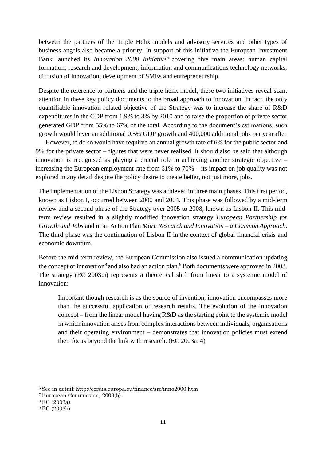between the partners of the Triple Helix models and advisory services and other types of business angels also became a priority. In support of this initiative the European Investment Bank launched its *Innovation 2000 Initiative*[6](#page-10-0) covering five main areas: human capital formation; research and development; information and communications technology networks; diffusion of innovation; development of SMEs and entrepreneurship.

Despite the reference to partners and the triple helix model, these two initiatives reveal scant attention in these key policy documents to the broad approach to innovation. In fact, the only quantifiable innovation related objective of the Strategy was to increase the share of R&D expenditures in the GDP from 1.9% to 3% by 2010 and to raise the proportion of private sector generated GDP from 55% to 67% of the total. According to the document's estimations, such growth would lever an additional 0.5% GDP growth and 400,000 additional jobs per yearafter

However, to do so would have required an annual growth rate of 6% for the public sector and 9% for the private sector – figures that were never realised. It should also be said that although innovation is recognised as playing a crucial role in achieving another strategic objective – increasing the European employment rate from 61% to 70% – its impact on job quality was not explored in any detail despite the policy desire to create better, not just more, jobs.

The implementation of the Lisbon Strategy was achieved in three main phases. This first period, known as Lisbon I, occurred between 2000 and 2004. This phase was followed by a mid-term review and a second phase of the Strategy over 2005 to 2008, known as Lisbon II. This midterm review resulted in a slightly modified innovation strategy *European Partnership for Growth and Jobs* and in an Action Plan *More Research and Innovation – a Common Approach*. The third phase was the continuation of Lisbon II in the context of global financial crisis and economic downturn.

Before the mid-term review, the European Commission also issued a communication updating the concept of innovation<sup>[8](#page-10-1)</sup> and also had an action plan.<sup>[9](#page-10-2)</sup> Both documents were approved in 2003. The strategy (EC 2003:a) represents a theoretical shift from linear to a systemic model of innovation:

Important though research is as the source of invention, innovation encompasses more than the successful application of research results. The evolution of the innovation concept – from the linear model having R&D as the starting point to the systemic model in which innovation arises from complex interactions between individuals, organisations and their operating environment – demonstrates that innovation policies must extend their focus beyond the link with research. (EC 2003a: 4)

<span id="page-10-0"></span><sup>6</sup>See in detail: <http://cordis.europa.eu/finance/src/inno2000.htm>

<sup>7</sup>European Commission, 2003(b).

<span id="page-10-1"></span><sup>8</sup>EC (2003a).

<span id="page-10-2"></span><sup>9</sup>EC (2003b).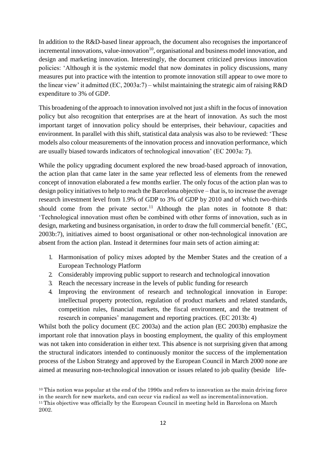In addition to the R&D-based linear approach, the document also recognises the importanceof incremental innovations, value-innovation $10$ , organisational and business model innovation, and design and marketing innovation. Interestingly, the document criticized previous innovation policies: 'Although it is the systemic model that now dominates in policy discussions, many measures put into practice with the intention to promote innovation still appear to owe more to the linear view' it admitted (EC, 2003a:7) – whilst maintaining the strategic aim of raising R&D expenditure to 3% of GDP.

This broadening of the approach to innovation involved not just a shift in the focus of innovation policy but also recognition that enterprises are at the heart of innovation. As such the most important target of innovation policy should be enterprises, their behaviour, capacities and environment. In parallel with this shift, statistical data analysis was also to be reviewed: 'These models also colour measurements of the innovation process and innovation performance, which are usually biased towards indicators of technological innovation' (EC 2003a: 7).

While the policy upgrading document explored the new broad-based approach of innovation, the action plan that came later in the same year reflected less of elements from the renewed concept of innovation elaborated a few months earlier. The only focus of the action plan was to design policy initiatives to help to reach the Barcelona objective – that is, to increase the average research investment level from 1.9% of GDP to 3% of GDP by 2010 and of which two-thirds should come from the private sector.<sup>[11](#page-11-1)</sup> Although the plan notes in footnote 8 that: 'Technological innovation must often be combined with other forms of innovation, such as in design, marketing and business organisation, in order to draw the full commercial benefit.' (EC, 2003b:7), initiatives aimed to boost organisational or other non-technological innovation are absent from the action plan. Instead it determines four main sets of action aiming at:

- 1. Harmonisation of policy mixes adopted by the Member States and the creation of a European Technology Platform
- 2. Considerably improving public support to research and technological innovation
- 3. Reach the necessary increase in the levels of public funding for research
- 4. Improving the environment of research and technological innovation in Europe: intellectual property protection, regulation of product markets and related standards, competition rules, financial markets, the fiscal environment, and the treatment of research in companies' management and reporting practices. (EC 2013b: 4)

Whilst both the policy document (EC 2003a) and the action plan (EC 2003b) emphasize the important role that innovation plays in boosting employment, the quality of this employment was not taken into consideration in either text. This absence is not surprising given that among the structural indicators intended to continuously monitor the success of the implementation process of the Lisbon Strategy and approved by the European Council in March 2000 none are aimed at measuring non-technological innovation or issues related to job quality (beside life-

<span id="page-11-1"></span><span id="page-11-0"></span><sup>&</sup>lt;sup>10</sup> This notion was popular at the end of the 1990s and refers to innovation as the main driving force in the search for new markets, and can occur via radical as well as incrementalinnovation. <sup>11</sup>This objective was officially by the European Council in meeting held in Barcelona on March 2002.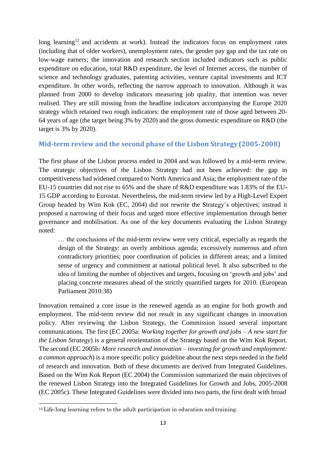long learning<sup>[12](#page-12-1)</sup> and accidents at work). Instead the indicators focus on employment rates (including that of older workers), unemployment rates, the gender pay gap and the tax rate on low-wage earners; the innovation and research section included indicators such as public expenditure on education, total R&D expenditure, the level of Internet access, the number of science and technology graduates, patenting activities, venture capital investments and ICT expenditure. In other words, reflecting the narrow approach to innovation. Although it was planned from 2000 to develop indicators measuring job quality, that intention was never realised. They are still missing from the headline indicators accompanying the Europe 2020 strategy which retained two rough indicators: the employment rate of those aged between 20- 64 years of age (the target being 3% by 2020) and the gross domestic expenditure on R&D (the target is 3% by 2020).

### <span id="page-12-0"></span>**Mid-term review and the second phase of the Lisbon Strategy (2005-2008)**

The first phase of the Lisbon process ended in 2004 and was followed by a mid-term review. The strategic objectives of the Lisbon Strategy had not been achieved: the gap in competitiveness had widened compared to North America and Asia; the employment rate of the EU-15 countries did not rise to 65% and the share of R&D expenditure was 1.83% of the EU-15 GDP according to Eurostat. Nevertheless, the mid-term review led by a High-Level Expert Group headed by Wim Kok (EC, 2004) did not rewrite the Strategy's objectives; instead it proposed a narrowing of their focus and urged more effective implementation through better governance and mobilisation. As one of the key documents evaluating the Lisbon Strategy noted:

… the conclusions of the mid-term review were very critical, especially as regards the design of the Strategy: an overly ambitious agenda; excessively numerous and often contradictory priorities; poor coordination of policies in different areas; and a limited sense of urgency and commitment at national political level. It also subscribed to the idea of limiting the number of objectives and targets, focusing on 'growth and jobs' and placing concrete measures ahead of the strictly quantified targets for 2010. (European Parliament 2010:38)

Innovation remained a core issue in the renewed agenda as an engine for both growth and employment. The mid-term review did not result in any significant changes in innovation policy. After reviewing the Lisbon Strategy, the Commission issued several important communications. The first (EC 2005a: *Working together for growth and jobs – A new start for the Lisbon Strategy*) is a general reorientation of the Strategy based on the Wim Kok Report. The second (EC 2005b: *More research and innovation – investing for growth and employment: a common approach*) is a more specific policy guideline about the next steps needed in the field of research and innovation. Both of these documents are derived from Integrated Guidelines. Based on the Wim Kok Report (EC 2004) the Commission summarized the main objectives of the renewed Lisbon Strategy into the Integrated Guidelines for Growth and Jobs, 2005-2008 (EC 2005c). These Integrated Guidelines were divided into two parts, the first dealt with broad

<span id="page-12-1"></span> $12$  Life-long learning refers to the adult participation in education and training.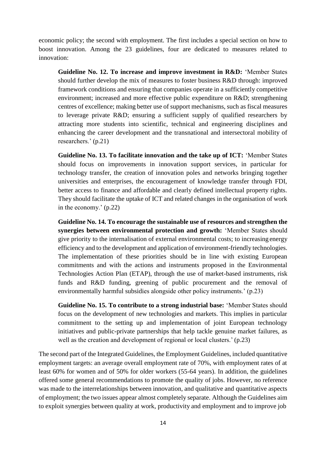economic policy; the second with employment. The first includes a special section on how to boost innovation. Among the 23 guidelines, four are dedicated to measures related to innovation:

**Guideline No. 12. To increase and improve investment in R&D:** 'Member States should further develop the mix of measures to foster business R&D through: improved framework conditions and ensuring that companies operate in a sufficiently competitive environment; increased and more effective public expenditure on R&D; strengthening centres of excellence; making better use of support mechanisms, such as fiscal measures to leverage private R&D; ensuring a sufficient supply of qualified researchers by attracting more students into scientific, technical and engineering disciplines and enhancing the career development and the transnational and intersectoral mobility of researchers.' (p.21)

**Guideline No. 13. To facilitate innovation and the take up of ICT:** 'Member States should focus on improvements in innovation support services, in particular for technology transfer, the creation of innovation poles and networks bringing together universities and enterprises, the encouragement of knowledge transfer through FDI, better access to finance and affordable and clearly defined intellectual property rights. They should facilitate the uptake of ICT and related changes in the organisation of work in the economy.' (p.22)

**Guideline No. 14. To encourage the sustainable use of resources and strengthen the synergies between environmental protection and growth:** 'Member States should give priority to the internalisation of external environmental costs; to increasing energy efficiency and to the development and application of environment-friendly technologies. The implementation of these priorities should be in line with existing European commitments and with the actions and instruments proposed in the Environmental Technologies Action Plan (ETAP), through the use of market-based instruments, risk funds and R&D funding, greening of public procurement and the removal of environmentally harmful subsidies alongside other policy instruments.' (p.23)

**Guideline No. 15. To contribute to a strong industrial base:** 'Member States should focus on the development of new technologies and markets. This implies in particular commitment to the setting up and implementation of joint European technology initiatives and public-private partnerships that help tackle genuine market failures, as well as the creation and development of regional or local clusters.' (p.23)

The second part of the Integrated Guidelines, the Employment Guidelines, included quantitative employment targets: an average overall employment rate of 70%, with employment rates of at least 60% for women and of 50% for older workers (55-64 years). In addition, the guidelines offered some general recommendations to promote the quality of jobs. However, no reference was made to the interrelationships between innovation, and qualitative and quantitative aspects of employment; the two issues appear almost completely separate. Although the Guidelines aim to exploit synergies between quality at work, productivity and employment and to improve job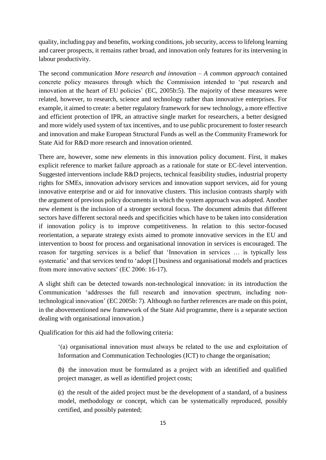quality, including pay and benefits, working conditions, job security, access to lifelong learning and career prospects, it remains rather broad, and innovation only features for its intervening in labour productivity.

The second communication *More research and innovation – A common approach* contained concrete policy measures through which the Commission intended to 'put research and innovation at the heart of EU policies' (EC, 2005b:5). The majority of these measures were related, however, to research, science and technology rather than innovative enterprises. For example, it aimed to create: a better regulatory framework for new technology, a more effective and efficient protection of IPR, an attractive single market for researchers, a better designed and more widely used system of tax incentives, and to use public procurement to foster research and innovation and make European Structural Funds as well as the Community Framework for State Aid for R&D more research and innovation oriented.

There are, however, some new elements in this innovation policy document. First, it makes explicit reference to market failure approach as a rationale for state or EC-level intervention. Suggested interventions include R&D projects, technical feasibility studies, industrial property rights for SMEs, innovation advisory services and innovation support services, aid for young innovative enterprise and or aid for innovative clusters. This inclusion contrasts sharply with the argument of previous policy documents in which the system approach was adopted. Another new element is the inclusion of a stronger sectoral focus. The document admits that different sectors have different sectoral needs and specificities which have to be taken into consideration if innovation policy is to improve competitiveness. In relation to this sector-focused reorientation, a separate strategy exists aimed to promote innovative services in the EU and intervention to boost for process and organisational innovation in services is encouraged. The reason for targeting services is a belief that 'Innovation in services … is typically less systematic' and that services tend to 'adopt [] business and organisational models and practices from more innovative sectors' (EC 2006: 16-17).

A slight shift can be detected towards non-technological innovation: in its introduction the Communication 'addresses the full research and innovation spectrum, including nontechnological innovation' (EC 2005b: 7). Although no further references are made on this point, in the abovementioned new framework of the State Aid programme, there is a separate section dealing with organisational innovation.)

Qualification for this aid had the following criteria:

'(a) organisational innovation must always be related to the use and exploitation of Information and Communication Technologies (ICT) to change the organisation;

(b) the innovation must be formulated as a project with an identified and qualified project manager, as well as identified project costs;

(c) the result of the aided project must be the development of a standard, of a business model, methodology or concept, which can be systematically reproduced, possibly certified, and possibly patented;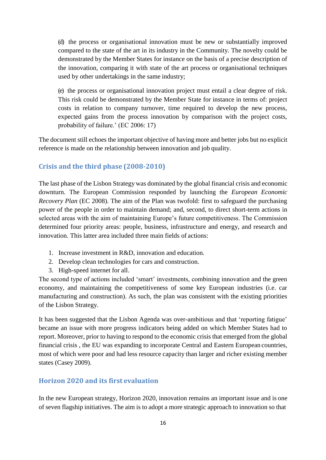(d) the process or organisational innovation must be new or substantially improved compared to the state of the art in its industry in the Community. The novelty could be demonstrated by the Member States for instance on the basis of a precise description of the innovation, comparing it with state of the art process or organisational techniques used by other undertakings in the same industry;

(e) the process or organisational innovation project must entail a clear degree of risk. This risk could be demonstrated by the Member State for instance in terms of: project costs in relation to company turnover, time required to develop the new process, expected gains from the process innovation by comparison with the project costs, probability of failure.' (EC 2006: 17)

The document still echoes the important objective of having more and better jobs but no explicit reference is made on the relationship between innovation and job quality.

## <span id="page-15-0"></span>**Crisis and the third phase (2008-2010)**

The last phase of the Lisbon Strategy was dominated by the global financial crisis and economic downturn. The European Commission responded by launching the *European Economic Recovery Plan (EC 2008).* The aim of the Plan was twofold: first to safeguard the purchasing power of the people in order to maintain demand; and, second, to direct short-term actions in selected areas with the aim of maintaining Europe's future competitiveness. The Commission determined four priority areas: people, business, infrastructure and energy, and research and innovation. This latter area included three main fields of actions:

- 1. Increase investment in R&D, innovation and education.
- 2. Develop clean technologies for cars and construction.
- 3. High-speed internet for all.

The second type of actions included 'smart' investments, combining innovation and the green economy, and maintaining the competitiveness of some key European industries (i.e. car manufacturing and construction). As such, the plan was consistent with the existing priorities of the Lisbon Strategy.

It has been suggested that the Lisbon Agenda was over-ambitious and that 'reporting fatigue' became an issue with more progress indicators being added on which Member States had to report. Moreover, prior to having to respond to the economic crisis that emerged from the global financial crisis , the EU was expanding to incorporate Central and Eastern European countries, most of which were poor and had less resource capacity than larger and richer existing member states (Casey 2009).

## <span id="page-15-1"></span>**Horizon 2020 and its first evaluation**

In the new European strategy, Horizon 2020, innovation remains an important issue and is one of seven flagship initiatives. The aim is to adopt a more strategic approach to innovation so that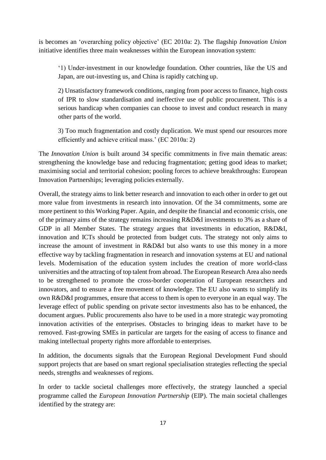is becomes an 'overarching policy objective' (EC 2010a: 2). The flagship *Innovation Union* initiative identifies three main weaknesses within the European innovation system:

'1) Under-investment in our knowledge foundation. Other countries, like the US and Japan, are out-investing us, and China is rapidly catching up.

2) Unsatisfactory framework conditions, ranging from poor access to finance, high costs of IPR to slow standardisation and ineffective use of public procurement. This is a serious handicap when companies can choose to invest and conduct research in many other parts of the world.

3) Too much fragmentation and costly duplication. We must spend our resources more efficiently and achieve critical mass.' (EC 2010a: 2)

The *Innovation Union* is built around 34 specific commitments in five main thematic areas: strengthening the knowledge base and reducing fragmentation; getting good ideas to market; maximising social and territorial cohesion; pooling forces to achieve breakthroughs: European Innovation Partnerships; leveraging policies externally.

Overall, the strategy aims to link better research and innovation to each other in order to get out more value from investments in research into innovation. Of the 34 commitments, some are more pertinent to this Working Paper. Again, and despite the financial and economic crisis, one of the primary aims of the strategy remains increasing R&D&I investments to 3% as a share of GDP in all Member States. The strategy argues that investments in education, R&D&I, innovation and ICTs should be protected from budget cuts. The strategy not only aims to increase the amount of investment in R&D&I but also wants to use this money in a more effective way by tackling fragmentation in research and innovation systems at EU and national levels. Modernisation of the education system includes the creation of more world-class universities and the attracting of top talent from abroad. The European Research Area also needs to be strengthened to promote the cross-border cooperation of European researchers and innovators, and to ensure a free movement of knowledge. The EU also wants to simplify its own R&D&I programmes, ensure that access to them is open to everyone in an equal way. The leverage effect of public spending on private sector investments also has to be enhanced, the document argues. Public procurements also have to be used in a more strategic way promoting innovation activities of the enterprises. Obstacles to bringing ideas to market have to be removed. Fast-growing SMEs in particular are targets for the easing of access to finance and making intellectual property rights more affordable to enterprises.

In addition, the documents signals that the European Regional Development Fund should support projects that are based on smart regional specialisation strategies reflecting the special needs, strengths and weaknesses of regions.

In order to tackle societal challenges more effectively, the strategy launched a special programme called the *European Innovation Partnership* (EIP). The main societal challenges identified by the strategy are: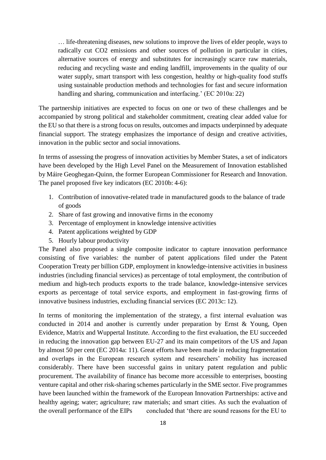… life-threatening diseases, new solutions to improve the lives of elder people, ways to radically cut CO2 emissions and other sources of pollution in particular in cities, alternative sources of energy and substitutes for increasingly scarce raw materials, reducing and recycling waste and ending landfill, improvements in the quality of our water supply, smart transport with less congestion, healthy or high-quality food stuffs using sustainable production methods and technologies for fast and secure information handling and sharing, communication and interfacing.' (EC 2010a: 22)

The partnership initiatives are expected to focus on one or two of these challenges and be accompanied by strong political and stakeholder commitment, creating clear added value for the EU so that there is a strong focus on results, outcomes and impacts underpinned by adequate financial support. The strategy emphasizes the importance of design and creative activities, innovation in the public sector and social innovations.

In terms of assessing the progress of innovation activities by Member States, a set of indicators have been developed by the High Level Panel on the Measurement of Innovation established by Máire Geoghegan-Quinn, the former European Commissioner for Research and Innovation. The panel proposed five key indicators (EC 2010b: 4-6):

- 1. Contribution of innovative-related trade in manufactured goods to the balance of trade of goods
- 2. Share of fast growing and innovative firms in the economy
- 3. Percentage of employment in knowledge intensive activities
- 4. Patent applications weighted by GDP
- 5. Hourly labour productivity

The Panel also proposed a single composite indicator to capture innovation performance consisting of five variables: the number of patent applications filed under the Patent Cooperation Treaty per billion GDP, employment in knowledge-intensive activities in business industries (including financial services) as percentage of total employment, the contribution of medium and high-tech products exports to the trade balance, knowledge-intensive services exports as percentage of total service exports, and employment in fast-growing firms of innovative business industries, excluding financial services (EC 2013c: 12).

In terms of monitoring the implementation of the strategy, a first internal evaluation was conducted in 2014 and another is currently under preparation by Ernst & Young, Open Evidence, Matrix and Wuppertal Institute. According to the first evaluation, the EU succeeded in reducing the innovation gap between EU-27 and its main competitors of the US and Japan by almost 50 per cent (EC 2014a: 11). Great efforts have been made in reducing fragmentation and overlaps in the European research system and researchers' mobility has increased considerably. There have been successful gains in unitary patent regulation and public procurement. The availability of finance has become more accessible to enterprises, boosting venture capital and other risk-sharing schemes particularly in the SME sector. Five programmes have been launched within the framework of the European Innovation Partnerships: active and healthy ageing; water; agriculture; raw materials; and smart cities. As such the evaluation of the overall performance of the EIPs concluded that 'there are sound reasons for the EU to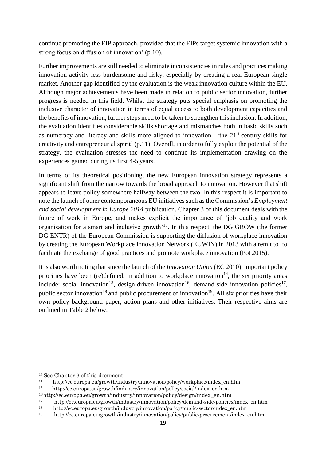continue promoting the EIP approach, provided that the EIPs target systemic innovation with a strong focus on diffusion of innovation' (p.10).

Further improvements are still needed to eliminate inconsistencies in rules and practices making innovation activity less burdensome and risky, especially by creating a real European single market. Another gap identified by the evaluation is the weak innovation culture within the EU. Although major achievements have been made in relation to public sector innovation, further progress is needed in this field. Whilst the strategy puts special emphasis on promoting the inclusive character of innovation in terms of equal access to both development capacities and the benefits of innovation, further steps need to be taken to strengthen thisinclusion. In addition, the evaluation identifies considerable skills shortage and mismatches both in basic skills such as numeracy and literacy and skills more aligned to innovation  $-$ <sup>the 21st</sup> century skills for creativity and entrepreneurial spirit' (p.11). Overall, in order to fully exploit the potential of the strategy, the evaluation stresses the need to continue its implementation drawing on the experiences gained during its first 4-5 years.

In terms of its theoretical positioning, the new European innovation strategy represents a significant shift from the narrow towards the broad approach to innovation. However thatshift appears to leave policy somewhere halfway between the two. In this respect it is important to note the launch of other contemporaneous EU initiatives such as the Commission's *Employment and social development in Europe 2014* publication. Chapter 3 of this document deals with the future of work in Europe, and makes explicit the importance of 'job quality and work organisation for a smart and inclusive growth'<sup>13</sup>. In this respect, the DG GROW (the former DG ENTR) of the European Commission is supporting the diffusion of workplace innovation by creating the European Workplace Innovation Network (EUWIN) in 2013 with a remit to 'to facilitate the exchange of good practices and promote workplace innovation (Pot 2015).

It is also worth noting that since the launch of the *Innovation Union* (EC 2010), important policy priorities have been (re)defined. In addition to workplace innovation<sup>[14](#page-18-0)</sup>, the six priority areas include: social innovation<sup>[15](#page-18-1)</sup>, design-driven innovation<sup>[16](#page-18-2)</sup>, demand-side innovation policies<sup>[17](#page-18-3)</sup>, public sector innovation<sup>[18](#page-18-4)</sup> and public procurement of innovation<sup>[19](#page-18-5)</sup>. All six priorities have their own policy background paper, action plans and other initiatives. Their respective aims are outlined in Table 2 below.

<sup>13</sup>See Chapter 3 of this document.

<span id="page-18-0"></span><sup>14</sup> [http://ec.europa.eu/growth/industry/innovation/policy/workplace/index\\_en.htm](http://ec.europa.eu/growth/industry/innovation/policy/workplace/index_en.htm)

<span id="page-18-1"></span><sup>&</sup>lt;sup>15</sup>[http://ec.europa.eu/growth/industry/innovation/policy/social/index\\_en.htm](http://ec.europa.eu/growth/industry/innovation/policy/social/index_en.htm)

<span id="page-18-2"></span><sup>16</sup>[http://ec.europa.eu/growth/industry/innovation/policy/design/index\\_en.htm](http://ec.europa.eu/growth/industry/innovation/policy/design/index_en.htm)

<span id="page-18-3"></span><sup>&</sup>lt;sup>17</sup> [http://ec.europa.eu/growth/industry/innovation/policy/demand-side-policies/index\\_en.htm](http://ec.europa.eu/growth/industry/innovation/policy/demand-side-policies/index_en.htm)

<span id="page-18-4"></span><sup>&</sup>lt;sup>18</sup>[http://ec.europa.eu/growth/industry/innovation/policy/public-sector/index\\_en.htm](http://ec.europa.eu/growth/industry/innovation/policy/public-sector/index_en.htm)

<span id="page-18-5"></span><sup>19</sup> [http://ec.europa.eu/growth/industry/innovation/policy/public-procurement/index\\_en.htm](http://ec.europa.eu/growth/industry/innovation/policy/public-procurement/index_en.htm)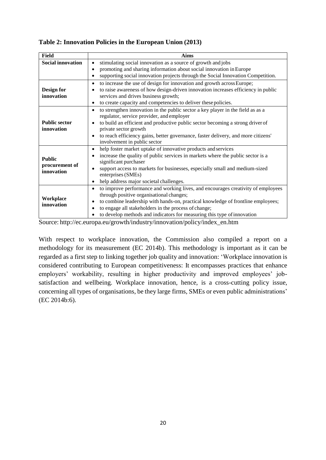| Field                                         | <b>Aims</b>                                                                                                                                                                                                                                                                                                                                                                                             |
|-----------------------------------------------|---------------------------------------------------------------------------------------------------------------------------------------------------------------------------------------------------------------------------------------------------------------------------------------------------------------------------------------------------------------------------------------------------------|
| <b>Social innovation</b>                      | stimulating social innovation as a source of growth and jobs<br>$\bullet$                                                                                                                                                                                                                                                                                                                               |
|                                               | promoting and sharing information about social innovation in Europe<br>$\bullet$                                                                                                                                                                                                                                                                                                                        |
|                                               | supporting social innovation projects through the Social Innovation Competition.<br>$\bullet$                                                                                                                                                                                                                                                                                                           |
| Design for<br>innovation                      | to increase the use of design for innovation and growth across Europe;<br>$\bullet$<br>to raise awareness of how design-driven innovation increases efficiency in public<br>$\bullet$<br>services and drives business growth;<br>to create capacity and competencies to deliver these policies.<br>$\bullet$                                                                                            |
| <b>Public sector</b><br>innovation            | to strengthen innovation in the public sector a key player in the field as as a<br>$\bullet$<br>regulator, service provider, and employer<br>to build an efficient and productive public sector becoming a strong driver of<br>$\bullet$<br>private sector growth<br>to reach efficiency gains, better governance, faster delivery, and more citizens'<br>$\bullet$<br>involvement in public sector     |
| <b>Public</b><br>procurement of<br>innovation | help foster market uptake of innovative products and services<br>$\bullet$<br>increase the quality of public services in markets where the public sector is a<br>$\bullet$<br>significant purchaser<br>support access to markets for businesses, especially small and medium-sized<br>٠<br>enterprises (SMEs)<br>help address major societal challenges.<br>$\bullet$                                   |
| Workplace<br>innovation                       | to improve performance and working lives, and encourages creativity of employees<br>$\bullet$<br>through positive organisational changes;<br>to combine leadership with hands-on, practical knowledge of frontline employees;<br>$\bullet$<br>to engage all stakeholders in the process of change;<br>$\bullet$<br>to develop methods and indicators for measuring this type of innovation<br>$\bullet$ |

#### **Table 2: Innovation Policies in the European Union (2013)**

Source: [http://ec.europa.eu/growth/industry/innovation/policy/index\\_en.htm](http://ec.europa.eu/growth/industry/innovation/policy/index_en.htm)

With respect to workplace innovation, the Commission also compiled a report on a methodology for its measurement (EC 2014b). This methodology is important as it can be regarded as a first step to linking together job quality and innovation: 'Workplace innovation is considered contributing to European competitiveness: It encompasses practices that enhance employers' workability, resulting in higher productivity and improved employees' jobsatisfaction and wellbeing. Workplace innovation, hence, is a cross-cutting policy issue, concerning all types of organisations, be they large firms, SMEs or even public administrations' (EC 2014b:6).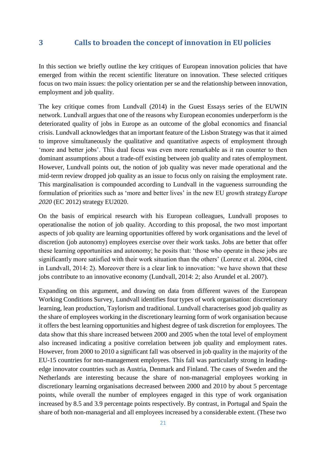## <span id="page-20-0"></span>**3 Calls to broaden the concept of innovation in EUpolicies**

In this section we briefly outline the key critiques of European innovation policies that have emerged from within the recent scientific literature on innovation. These selected critiques focus on two main issues: the policy orientation per se and the relationship between innovation, employment and job quality.

The key critique comes from Lundvall (2014) in the Guest Essays series of the EUWIN network. Lundvall argues that one of the reasons why European economies underperform is the deteriorated quality of jobs in Europe as an outcome of the global economics and financial crisis. Lundvall acknowledges that an important feature of the Lisbon Strategy was that it aimed to improve simultaneously the qualitative and quantitative aspects of employment through 'more and better jobs'. This dual focus was even more remarkable as it ran counter to then dominant assumptions about a trade-off existing between job quality and rates of employment. However, Lundvall points out, the notion of job quality was never made operational and the mid-term review dropped job quality as an issue to focus only on raising the employment rate. This marginalisation is compounded according to Lundvall in the vagueness surrounding the formulation of priorities such as 'more and better lives' in the new EU growth strategy*Europe 2020* (EC 2012) strategy EU2020.

On the basis of empirical research with his European colleagues, Lundvall proposes to operationalise the notion of job quality. According to this proposal, the two most important aspects of job quality are learning opportunities offered by work organisations and the level of discretion (job autonomy) employees exercise over their work tasks. Jobs are better that offer these learning opportunities and autonomy; he posits that: 'those who operate in these jobs are significantly more satisfied with their work situation than the others' (Lorenz et al. 2004, cited in Lundvall, 2014: 2). Moreover there is a clear link to innovation: 'we have shown that these jobs contribute to an innovative economy (Lundvall, 2014: 2; also Arundel et al. 2007).

Expanding on this argument, and drawing on data from different waves of the European Working Conditions Survey, Lundvall identifies four types of work organisation: discretionary learning, lean production, Taylorism and traditional. Lundvall characterises good job quality as the share of employees working in the discretionary learning form of work organisation because it offers the best learning opportunities and highest degree of task discretion for employees. The data show that this share increased between 2000 and 2005 when the total level of employment also increased indicating a positive correlation between job quality and employment rates. However, from 2000 to 2010 a significant fall was observed in job quality in the majority of the EU-15 countries for non-management employees. This fall was particularly strong in leadingedge innovator countries such as Austria, Denmark and Finland. The cases of Sweden and the Netherlands are interesting because the share of non-managerial employees working in discretionary learning organisations decreased between 2000 and 2010 by about 5 percentage points, while overall the number of employees engaged in this type of work organisation increased by 8.5 and 3.9 percentage points respectively. By contrast, in Portugal and Spain the share of both non-managerial and all employees increased by a considerable extent. (These two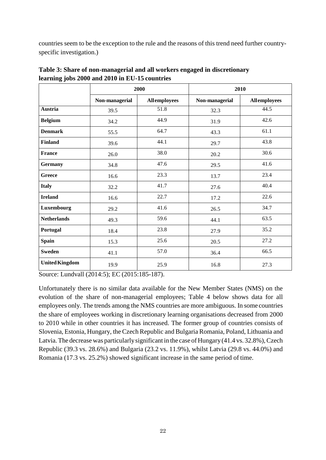countries seem to be the exception to the rule and the reasons of this trend need further countryspecific investigation.)

|                       |                | 2000                | 2010           |                     |
|-----------------------|----------------|---------------------|----------------|---------------------|
|                       | Non-managerial | <b>Allemployees</b> | Non-managerial | <b>Allemployees</b> |
| Austria               | 39.5           | 51.8                | 32.3           | 44.5                |
| <b>Belgium</b>        | 34.2           | 44.9                | 31.9           | 42.6                |
| <b>Denmark</b>        | 55.5           | 64.7                | 43.3           | 61.1                |
| <b>Finland</b>        | 39.6           | 44.1                | 29.7           | 43.8                |
| <b>France</b>         | 26.0           | 38.0                | 20.2           | 30.6                |
| <b>Germany</b>        | 34.8           | 47.6                | 29.5           | 41.6                |
| <b>Greece</b>         | 16.6           | 23.3                | 13.7           | 23.4                |
| <b>Italy</b>          | 32.2           | 41.7                | 27.6           | 40.4                |
| <b>Ireland</b>        | 16.6           | 22.7                | 17.2           | 22.6                |
| Luxembourg            | 29.2           | 41.6                | 26.5           | 34.7                |
| <b>Netherlands</b>    | 49.3           | 59.6                | 44.1           | 63.5                |
| Portugal              | 18.4           | 23.8                | 27.9           | 35.2                |
| <b>Spain</b>          | 15.3           | 25.6                | 20.5           | 27.2                |
| <b>Sweden</b>         | 41.1           | 57.0                | 36.4           | 66.5                |
| <b>United Kingdom</b> | 19.9           | 25.9                | 16.8           | 27.3                |

**Table 3: Share of non-managerial and all workers engaged in discretionary learning jobs 2000 and 2010 in EU-15 countries**

Source: Lundvall (2014:5); EC (2015:185-187).

Unfortunately there is no similar data available for the New Member States (NMS) on the evolution of the share of non-managerial employees; Table 4 below shows data for all employees only. The trends among the NMS countries are more ambiguous. In some countries the share of employees working in discretionary learning organisations decreased from 2000 to 2010 while in other countries it has increased. The former group of countries consists of Slovenia, Estonia, Hungary, the Czech Republic and Bulgaria Romania, Poland, Lithuania and Latvia. The decrease was particularly significant in the case of Hungary (41.4 vs. 32.8%), Czech Republic (39.3 vs. 28.6%) and Bulgaria (23.2 vs. 11.9%), whilst Latvia (29.8 vs. 44.0%) and Romania (17.3 vs. 25.2%) showed significant increase in the same period of time.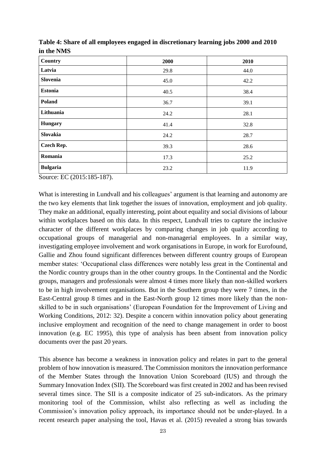| Country           | 2000 | 2010 |
|-------------------|------|------|
| Latvia            | 29.8 | 44.0 |
| Slovenia          | 45.0 | 42.2 |
| <b>Estonia</b>    | 40.5 | 38.4 |
| Poland            | 36.7 | 39.1 |
| Lithuania         | 24.2 | 28.1 |
| <b>Hungary</b>    | 41.4 | 32.8 |
| Slovakia          | 24.2 | 28.7 |
| <b>Czech Rep.</b> | 39.3 | 28.6 |
| Romania           | 17.3 | 25.2 |
| <b>Bulgaria</b>   | 23.2 | 11.9 |

| Table 4: Share of all employees engaged in discretionary learning jobs 2000 and 2010 |  |
|--------------------------------------------------------------------------------------|--|
| in the NMS                                                                           |  |

Source: EC (2015:185-187).

What is interesting in Lundvall and his colleagues' argument is that learning and autonomy are the two key elements that link together the issues of innovation, employment and job quality. They make an additional, equally interesting, point about equality and social divisions of labour within workplaces based on this data. In this respect, Lundvall tries to capture the inclusive character of the different workplaces by comparing changes in job quality according to occupational groups of managerial and non-managerial employees. In a similar way, investigating employee involvement and work organisations in Europe, in work for Eurofound, Gallie and Zhou found significant differences between different country groups of European member states: 'Occupational class differences were notably less great in the Continental and the Nordic country groups than in the other country groups. In the Continental and the Nordic groups, managers and professionals were almost 4 times more likely than non-skilled workers to be in high involvement organisations. But in the Southern group they were 7 times, in the East-Central group 8 times and in the East-North group 12 times more likely than the nonskilled to be in such organisations' (European Foundation for the Improvement of Living and Working Conditions, 2012: 32). Despite a concern within innovation policy about generating inclusive employment and recognition of the need to change management in order to boost innovation (e.g. EC 1995), this type of analysis has been absent from innovation policy documents over the past 20 years.

This absence has become a weakness in innovation policy and relates in part to the general problem of how innovation is measured. The Commission monitors the innovation performance of the Member States through the Innovation Union Scoreboard (IUS) and through the Summary Innovation Index (SII). The Scoreboard was first created in 2002 and has been revised several times since. The SII is a composite indicator of 25 sub-indicators. As the primary monitoring tool of the Commission, whilst also reflecting as well as including the Commission's innovation policy approach, its importance should not be under-played. In a recent research paper analysing the tool, Havas et al. (2015) revealed a strong bias towards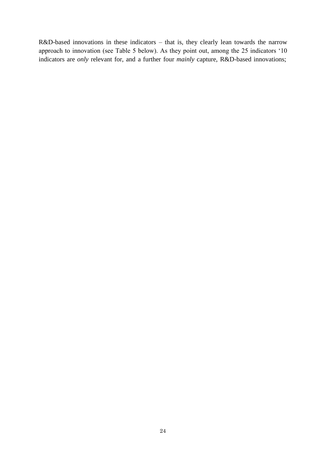R&D-based innovations in these indicators – that is, they clearly lean towards the narrow approach to innovation (see Table 5 below). As they point out, among the 25 indicators '10 indicators are *only* relevant for, and a further four *mainly* capture, R&D-based innovations;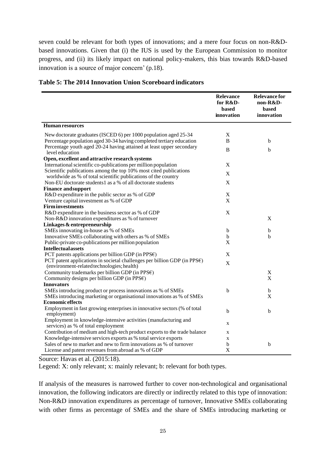seven could be relevant for both types of innovations; and a mere four focus on non-R&Dbased innovations. Given that (i) the IUS is used by the European Commission to monitor progress, and (ii) its likely impact on national policy-makers, this bias towards R&D-based innovation is a source of major concern' (p.18).

|                                                                                                                                     | <b>Relevance</b><br>for R&D-<br><b>based</b><br>innovation | <b>Relevance for</b><br>non-R&D-<br><b>based</b><br>innovation |
|-------------------------------------------------------------------------------------------------------------------------------------|------------------------------------------------------------|----------------------------------------------------------------|
| Human resources                                                                                                                     |                                                            |                                                                |
| New doctorate graduates (ISCED 6) per 1000 population aged 25-34                                                                    | $\mathbf X$                                                |                                                                |
| Percentage population aged 30-34 having completed tertiary education                                                                | B                                                          | b                                                              |
| Percentage youth aged 20-24 having attained at least upper secondary<br>level education                                             | B                                                          | b                                                              |
| Open, excellent and attractive research systems                                                                                     |                                                            |                                                                |
| International scientific co-publications per million population                                                                     | X                                                          |                                                                |
| Scientific publications among the top 10% most cited publications<br>worldwide as % of total scientific publications of the country | X                                                          |                                                                |
| Non-EU doctorate students1 as a % of all doctorate students                                                                         | $\mathbf X$                                                |                                                                |
| <b>Finance and support</b>                                                                                                          |                                                            |                                                                |
| R&D expenditure in the public sector as % of GDP                                                                                    | $\mathbf X$                                                |                                                                |
| Venture capital investment as % of GDP                                                                                              | X                                                          |                                                                |
| <b>Firm investments</b>                                                                                                             |                                                            |                                                                |
| R&D expenditure in the business sector as % of GDP                                                                                  | $\mathbf X$                                                |                                                                |
| Non-R&D innovation expenditures as % of turnover                                                                                    |                                                            | $\boldsymbol{\mathrm{X}}$                                      |
| Linkages & entrepreneurship                                                                                                         |                                                            |                                                                |
| SMEs innovating in-house as % of SMEs                                                                                               | b                                                          | b                                                              |
| Innovative SMEs collaborating with others as % of SMEs                                                                              | b                                                          | b                                                              |
| Public-private co-publications per million population                                                                               | X                                                          |                                                                |
| <b>Intellectual assets</b>                                                                                                          |                                                            |                                                                |
| PCT patents applications per billion GDP (in PPS $\varepsilon$ )                                                                    | $\mathbf X$                                                |                                                                |
| PCT patent applications in societal challenges per billion GDP (in PPS€)<br>(environment-related technologies; health)              | $\mathbf X$                                                |                                                                |
| Community trademarks per billion GDP (in PPS $\varepsilon$ )                                                                        |                                                            | X                                                              |
| Community designs per billion GDP (in PPS $\varepsilon$ )                                                                           |                                                            | X                                                              |
| <b>Innovators</b>                                                                                                                   |                                                            |                                                                |
| SMEs introducing product or process innovations as % of SMEs                                                                        | b                                                          | b                                                              |
| SMEs introducing marketing or organisational innovations as % of SMEs                                                               |                                                            | X                                                              |
| <b>Economic effects</b>                                                                                                             |                                                            |                                                                |
| Employment in fast growing enterprises in innovative sectors (% of total<br>employment)                                             | b                                                          | b                                                              |
| Employment in knowledge-intensive activities (manufacturing and<br>services) as % of total employment                               | X                                                          |                                                                |
| Contribution of medium and high-tech product exports to the trade balance                                                           | X                                                          |                                                                |
| Knowledge-intensive services exports as % total service exports                                                                     | $\mathbf X$                                                |                                                                |
| Sales of new to market and new to firm innovations as % of turnover                                                                 | b                                                          | $\mathbf b$                                                    |
| License and patent revenues from abroad as % of GDP                                                                                 | $\mathbf X$                                                |                                                                |

#### **Table 5: The 2014 Innovation Union Scoreboard indicators**

Source: Havas et al. (2015:18).

Legend: X: only relevant; x: mainly relevant; b: relevant for both types.

If analysis of the measures is narrowed further to cover non-technological and organisational innovation, the following indicators are directly or indirectly related to this type of innovation: Non-R&D innovation expenditures as percentage of turnover, Innovative SMEs collaborating with other firms as percentage of SMEs and the share of SMEs introducing marketing or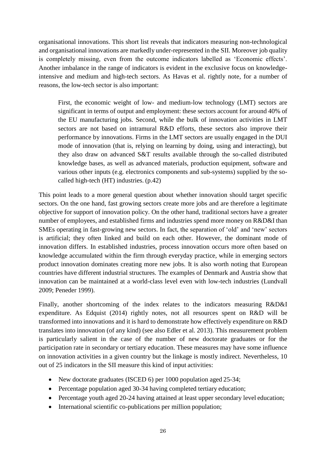organisational innovations. This short list reveals that indicators measuring non-technological and organisational innovations are markedly under-represented in the SII. Moreover job quality is completely missing, even from the outcome indicators labelled as 'Economic effects'. Another imbalance in the range of indicators is evident in the exclusive focus on knowledgeintensive and medium and high-tech sectors. As Havas et al. rightly note, for a number of reasons, the low-tech sector is also important:

First, the economic weight of low- and medium-low technology (LMT) sectors are significant in terms of output and employment: these sectors account for around 40% of the EU manufacturing jobs. Second, while the bulk of innovation activities in LMT sectors are not based on intramural R&D efforts, these sectors also improve their performance by innovations. Firms in the LMT sectors are usually engaged in the DUI mode of innovation (that is, relying on learning by doing, using and interacting), but they also draw on advanced S&T results available through the so-called distributed knowledge bases, as well as advanced materials, production equipment, software and various other inputs (e.g. electronics components and sub-systems) supplied by the socalled high-tech (HT) industries. (p.42)

This point leads to a more general question about whether innovation should target specific sectors. On the one hand, fast growing sectors create more jobs and are therefore a legitimate objective for support of innovation policy. On the other hand, traditional sectors have a greater number of employees, and established firms and industries spend more money on R&D&I than SMEs operating in fast-growing new sectors. In fact, the separation of 'old' and 'new' sectors is artificial; they often linked and build on each other. However, the dominant mode of innovation differs. In established industries, process innovation occurs more often based on knowledge accumulated within the firm through everyday practice, while in emerging sectors product innovation dominates creating more new jobs. It is also worth noting that European countries have different industrial structures. The examples of Denmark and Austria show that innovation can be maintained at a world-class level even with low-tech industries (Lundvall 2009; Peneder 1999).

Finally, another shortcoming of the index relates to the indicators measuring R&D&I expenditure. As Edquist (2014) rightly notes, not all resources spent on R&D will be transformed into innovations and it is hard to demonstrate how effectively expenditure on R&D translates into innovation (of any kind) (see also Edler et al. 2013). This measurement problem is particularly salient in the case of the number of new doctorate graduates or for the participation rate in secondary or tertiary education. These measures may have some influence on innovation activities in a given country but the linkage is mostly indirect. Nevertheless, 10 out of 25 indicators in the SII measure this kind of input activities:

- New doctorate graduates (ISCED 6) per 1000 population aged 25-34;
- Percentage population aged 30-34 having completed tertiary education;
- Percentage youth aged 20-24 having attained at least upper secondary level education;
- International scientific co-publications per million population;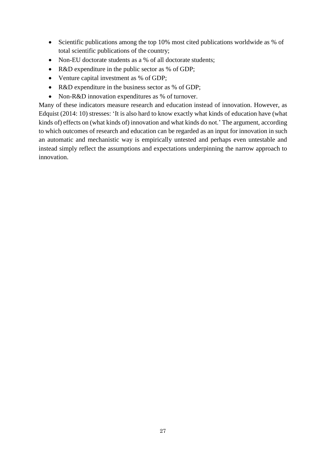- Scientific publications among the top 10% most cited publications worldwide as % of total scientific publications of the country;
- Non-EU doctorate students as a % of all doctorate students;
- R&D expenditure in the public sector as % of GDP;
- Venture capital investment as % of GDP;
- R&D expenditure in the business sector as % of GDP;
- Non-R&D innovation expenditures as % of turnover.

Many of these indicators measure research and education instead of innovation. However, as Edquist (2014: 10) stresses: 'It is also hard to know exactly what kinds of education have (what kinds of) effects on (what kinds of) innovation and what kinds do not.' The argument, according to which outcomes of research and education can be regarded as an input for innovation in such an automatic and mechanistic way is empirically untested and perhaps even untestable and instead simply reflect the assumptions and expectations underpinning the narrow approach to innovation.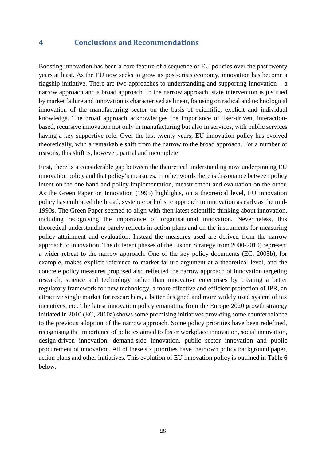### <span id="page-27-0"></span>**4 Conclusions and Recommendations**

Boosting innovation has been a core feature of a sequence of EU policies over the past twenty years at least. As the EU now seeks to grow its post-crisis economy, innovation has become a flagship initiative. There are two approaches to understanding and supporting innovation  $-$  a narrow approach and a broad approach. In the narrow approach, state intervention is justified by market failure and innovation is characterised as linear, focusing on radical and technological innovation of the manufacturing sector on the basis of scientific, explicit and individual knowledge. The broad approach acknowledges the importance of user-driven, interactionbased, recursive innovation not only in manufacturing but also in services, with public services having a key supportive role. Over the last twenty years, EU innovation policy has evolved theoretically, with a remarkable shift from the narrow to the broad approach. For a number of reasons, this shift is, however, partial and incomplete.

First, there is a considerable gap between the theoretical understanding now underpinning EU innovation policy and that policy's measures. In other words there is dissonance between policy intent on the one hand and policy implementation, measurement and evaluation on the other. As the Green Paper on Innovation (1995) highlights, on a theoretical level, EU innovation policy has embraced the broad, systemic or holistic approach to innovation as early as the mid-1990s. The Green Paper seemed to align with then latest scientific thinking about innovation, including recognising the importance of organisational innovation. Nevertheless, this theoretical understanding barely reflects in action plans and on the instruments for measuring policy attainment and evaluation. Instead the measures used are derived from the narrow approach to innovation. The different phases of the Lisbon Strategy from 2000-2010) represent a wider retreat to the narrow approach. One of the key policy documents (EC, 2005b), for example, makes explicit reference to market failure argument at a theoretical level, and the concrete policy measures proposed also reflected the narrow approach of innovation targeting research, science and technology rather than innovative enterprises by creating a better regulatory framework for new technology, a more effective and efficient protection of IPR, an attractive single market for researchers, a better designed and more widely used system of tax incentives, etc. The latest innovation policy emanating from the Europe 2020 growth strategy initiated in 2010 (EC, 2010a) shows some promising initiatives providing some counterbalance to the previous adoption of the narrow approach. Some policy priorities have been redefined, recognising the importance of policies aimed to foster workplace innovation, social innovation, design-driven innovation, demand-side innovation, public sector innovation and public procurement of innovation. All of these six priorities have their own policy background paper, action plans and other initiatives. This evolution of EU innovation policy is outlined in Table 6 below.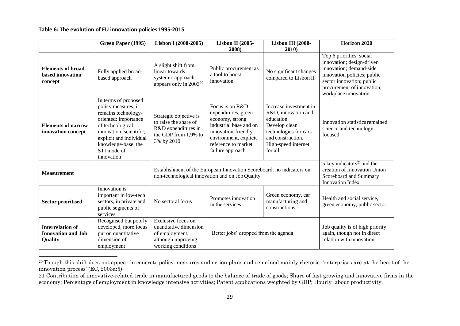#### **Table 6: The evolution of EU innovation policies 1995-2015**

<span id="page-28-0"></span>

|                                                                 | Green Paper (1995)                                                                                                                                                                                                       | Lisbon I (2000-2005)                                                                                                     | <b>Lisbon II (2005-</b>                                                                                                                                                        | Lisbon III (2008-                                                                                                                                            | Horizon 2020                                                                                                                                                                                       |
|-----------------------------------------------------------------|--------------------------------------------------------------------------------------------------------------------------------------------------------------------------------------------------------------------------|--------------------------------------------------------------------------------------------------------------------------|--------------------------------------------------------------------------------------------------------------------------------------------------------------------------------|--------------------------------------------------------------------------------------------------------------------------------------------------------------|----------------------------------------------------------------------------------------------------------------------------------------------------------------------------------------------------|
|                                                                 |                                                                                                                                                                                                                          |                                                                                                                          | 2008)                                                                                                                                                                          | 2010)                                                                                                                                                        |                                                                                                                                                                                                    |
| <b>Elements of broad-</b><br>based innovation<br>concept        | Fully applied broad-<br>based approach                                                                                                                                                                                   | A slight shift from<br>linear towards<br>systemic approach<br>appears only in 2003 <sup>20</sup>                         | Public procurement as<br>a tool to boost<br>innovation                                                                                                                         | No significant changes<br>compared to Lisbon II                                                                                                              | Top 6 priorities: social<br>innovation; design-driven<br>innovation; demand-side<br>innovation policies; public<br>sector innovation; public<br>procurement of innovation;<br>workplace innovation |
| <b>Elements of narrow</b><br>innovation concept                 | In terms of proposed<br>policy measures, it<br>remains technology-<br>oriented: importance<br>of technological<br>innovation, scientific,<br>explicit and individual<br>knowledge-base, the<br>STI mode of<br>innovation | Strategic objective is<br>to raise the share of<br>R&D expenditures in<br>the GDP from 1,9% to<br>3% by 2010             | Focus is on R&D<br>expenditures, green<br>economy, strong<br>industrial base and on<br>innovation-friendly<br>environment, explicit<br>reference to market<br>failure approach | Increase investment in<br>R&D, innovation and<br>education.<br>Develop clean<br>technologies for cars<br>and construction.<br>High-speed internet<br>for all | Innovation statistics remained<br>science and technology-<br>focused                                                                                                                               |
| <b>Measurement</b>                                              |                                                                                                                                                                                                                          | Establishment of the European Innovation Scoreboard: no indicators on<br>non-technological innovation and on Job Quality |                                                                                                                                                                                | 5 key indicators $21$ and the<br>creation of Innovation Union<br>Scoreboard and Summary<br><b>Innovation Index</b>                                           |                                                                                                                                                                                                    |
| <b>Sector prioritised</b>                                       | Innovation is<br>important in low-tech<br>sectors, in private and<br>public segments of<br>services                                                                                                                      | No sectoral focus                                                                                                        | Promotes innovation<br>in the services                                                                                                                                         | Green economy, car<br>manufacturing and<br>constructions                                                                                                     | Health and social service,<br>green economy, public sector                                                                                                                                         |
| <b>Interrelation of</b><br><b>Innovation and Job</b><br>Quality | Recognised but poorly<br>developed, more focus<br>put on quantitative<br>dimension of<br>employment                                                                                                                      | Exclusive focus on<br>quantitative dimension<br>of employment,<br>although improving<br>working conditions               | 'Better jobs' dropped from the agenda                                                                                                                                          |                                                                                                                                                              | Job quality is of high priority<br>again, though not in direct<br>relation with innovation                                                                                                         |

<sup>&</sup>lt;sup>20</sup>Though this shift does not appear in concrete policy measures and action plans and remained mainly rhetoric: 'enterprises are at the heart of the innovation process' (EC, 2003a:5)

<sup>21</sup> Contribution of innovative-related trade in manufactured goods to the balance of trade of goods; Share of fast growing and innovative firms in the economy; Percentage of employment in knowledge intensive activities; Patent applications weighted by GDP; Hourly labour productivity.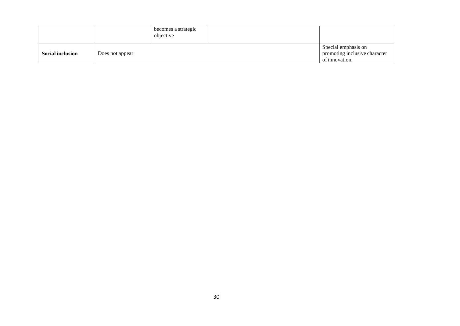|                         |                 | becomes a strategic<br>objective |                                                                        |
|-------------------------|-----------------|----------------------------------|------------------------------------------------------------------------|
| <b>Social inclusion</b> | Does not appear |                                  | Special emphasis on<br>promoting inclusive character<br>of innovation. |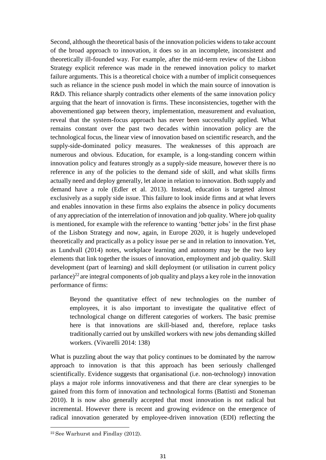Second, although the theoretical basis of the innovation policies widens to take account of the broad approach to innovation, it does so in an incomplete, inconsistent and theoretically ill-founded way. For example, after the mid-term review of the Lisbon Strategy explicit reference was made in the renewed innovation policy to market failure arguments. This is a theoretical choice with a number of implicit consequences such as reliance in the science push model in which the main source of innovation is R&D. This reliance sharply contradicts other elements of the same innovation policy arguing that the heart of innovation is firms. These inconsistencies, together with the abovementioned gap between theory, implementation, measurement and evaluation, reveal that the system-focus approach has never been successfully applied. What remains constant over the past two decades within innovation policy are the technological focus, the linear view of innovation based on scientific research, and the supply-side-dominated policy measures. The weaknesses of this approach are numerous and obvious. Education, for example, is a long-standing concern within innovation policy and features strongly as a supply-side measure, however there is no reference in any of the policies to the demand side of skill, and what skills firms actually need and deploy generally, let alone in relation to innovation. Both supply and demand have a role (Edler et al. 2013). Instead, education is targeted almost exclusively as a supply side issue. This failure to look inside firms and at what levers and enables innovation in these firms also explains the absence in policy documents of any appreciation of the interrelation of innovation and job quality. Where job quality is mentioned, for example with the reference to wanting 'better jobs' in the first phase of the Lisbon Strategy and now, again, in Europe 2020, it is hugely undeveloped theoretically and practically as a policy issue per se and in relation to innovation.Yet, as Lundvall (2014) notes, workplace learning and autonomy may be the two key elements that link together the issues of innovation, employment and job quality. Skill development (part of learning) and skill deployment (or utilisation in current policy parlance)<sup>[22](#page-30-0)</sup> are integral components of job quality and plays a key role in the innovation performance of firms:

Beyond the quantitative effect of new technologies on the number of employees, it is also important to investigate the qualitative effect of technological change on different categories of workers. The basic premise here is that innovations are skill-biased and, therefore, replace tasks traditionally carried out by unskilled workers with new jobs demanding skilled workers. (Vivarelli 2014: 138)

What is puzzling about the way that policy continues to be dominated by the narrow approach to innovation is that this approach has been seriously challenged scientifically. Evidence suggests that organisational (i.e. non-technology) innovation plays a major role informs innovativeness and that there are clear synergies to be gained from this form of innovation and technological forms (Battisti and Stoneman 2010). It is now also generally accepted that most innovation is not radical but incremental. However there is recent and growing evidence on the emergence of radical innovation generated by employee-driven innovation (EDI) reflecting the

<span id="page-30-0"></span><sup>22</sup>See Warhurst and Findlay (2012).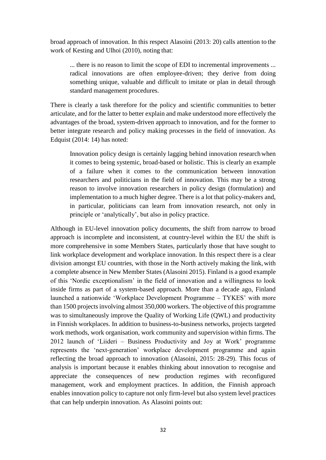broad approach of innovation. In this respect Alasoini (2013: 20) calls attention to the work of Kesting and Ulhoi (2010), noting that:

... there is no reason to limit the scope of EDI to incremental improvements ... radical innovations are often employee-driven; they derive from doing something unique, valuable and difficult to imitate or plan in detail through standard management procedures.

There is clearly a task therefore for the policy and scientific communities to better articulate, and for the latter to better explain and make understood more effectively the advantages of the broad, system-driven approach to innovation, and for the former to better integrate research and policy making processes in the field of innovation. As Edquist (2014: 14) has noted:

Innovation policy design is certainly lagging behind innovation researchwhen it comes to being systemic, broad-based or holistic. This is clearly an example of a failure when it comes to the communication between innovation researchers and politicians in the field of innovation. This may be a strong reason to involve innovation researchers in policy design (formulation) and implementation to a much higher degree. There is a lot that policy-makers and, in particular, politicians can learn from innovation research, not only in principle or 'analytically', but also in policy practice.

Although in EU-level innovation policy documents, the shift from narrow to broad approach is incomplete and inconsistent, at country-level within the EU the shift is more comprehensive in some Members States, particularly those that have sought to link workplace development and workplace innovation. In this respect there is a clear division amongst EU countries, with those in the North actively making the link,with a complete absence in New Member States (Alasoini 2015). Finland is a good example of this 'Nordic exceptionalism' in the field of innovation and a willingness to look inside firms as part of a system-based approach. More than a decade ago, Finland launched a nationwide 'Workplace Development Programme – TYKES' with more than 1500 projects involving almost 350,000 workers. The objective of this programme was to simultaneously improve the Quality of Working Life (QWL) and productivity in Finnish workplaces. In addition to business-to-business networks, projects targeted work methods, work organisation, work community and supervision within firms. The 2012 launch of 'Liideri – Business Productivity and Joy at Work' programme represents the 'next-generation' workplace development programme and again reflecting the broad approach to innovation (Alasoini, 2015: 28-29). This focus of analysis is important because it enables thinking about innovation to recognise and appreciate the consequences of new production regimes with reconfigured management, work and employment practices. In addition, the Finnish approach enables innovation policy to capture not only firm-level but also system level practices that can help underpin innovation. As Alasoini points out: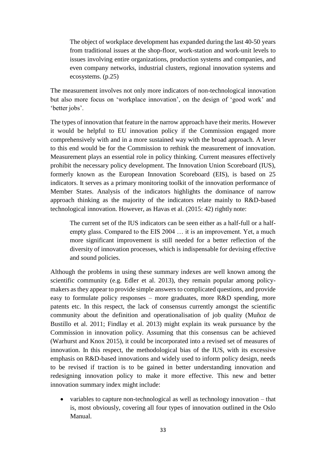The object of workplace development has expanded during the last 40-50 years from traditional issues at the shop-floor, work-station and work-unit levels to issues involving entire organizations, production systems and companies, and even company networks, industrial clusters, regional innovation systems and ecosystems. (p.25)

The measurement involves not only more indicators of non-technological innovation but also more focus on 'workplace innovation', on the design of 'good work' and 'better jobs'.

The types of innovation that feature in the narrow approach have their merits. However it would be helpful to EU innovation policy if the Commission engaged more comprehensively with and in a more sustained way with the broad approach. A lever to this end would be for the Commission to rethink the measurement of innovation. Measurement plays an essential role in policy thinking. Current measures effectively prohibit the necessary policy development. The Innovation Union Scoreboard (IUS), formerly known as the European Innovation Scoreboard (EIS), is based on 25 indicators. It serves as a primary monitoring toolkit of the innovation performance of Member States. Analysis of the indicators highlights the dominance of narrow approach thinking as the majority of the indicators relate mainly to R&D-based technological innovation. However, as Havas et al. (2015: 42) rightly note:

The current set of the IUS indicators can be seen either as a half-full or a halfempty glass. Compared to the EIS 2004 … it is an improvement. Yet, a much more significant improvement is still needed for a better reflection of the diversity of innovation processes, which is indispensable for devising effective and sound policies.

Although the problems in using these summary indexes are well known among the scientific community (e.g. Edler et al. 2013), they remain popular among policymakers as they appear to provide simple answers to complicated questions, and provide easy to formulate policy responses – more graduates, more R&D spending, more patents etc. In this respect, the lack of consensus currently amongst the scientific community about the definition and operationalisation of job quality (Muñoz de Bustillo et al. 2011; Findlay et al. 2013) might explain its weak pursuance by the Commission in innovation policy. Assuming that this consensus can be achieved (Warhurst and Knox 2015), it could be incorporated into a revised set of measures of innovation. In this respect, the methodological bias of the IUS, with its excessive emphasis on R&D-based innovations and widely used to inform policy design, needs to be revised if traction is to be gained in better understanding innovation and redesigning innovation policy to make it more effective. This new and better innovation summary index might include:

• variables to capture non-technological as well as technology innovation – that is, most obviously, covering all four types of innovation outlined in the Oslo Manual.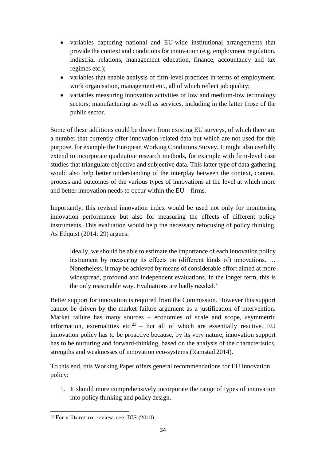- variables capturing national and EU-wide institutional arrangements that provide the context and conditions for innovation (e.g. employment regulation, industrial relations, management education, finance, accountancy and tax regimes etc.);
- variables that enable analysis of firm-level practices in terms of employment, work organisation, management etc., all of which reflect job quality;
- variables measuring innovation activities of low and medium-low technology sectors; manufacturing as well as services, including in the latter those of the public sector.

Some of these additions could be drawn from existing EU surveys, of which there are a number that currently offer innovation-related data but which are not used for this purpose, for example the European Working Conditions Survey. It might also usefully extend to incorporate qualitative research methods, for example with firm-level case studies that triangulate objective and subjective data. This latter type of data gathering would also help better understanding of the interplay between the context, content, process and outcomes of the various types of innovations at the level at which more and better innovation needs to occur within the EU – firms.

Importantly, this revised innovation index would be used not only for monitoring innovation performance but also for measuring the effects of different policy instruments. This evaluation would help the necessary refocusing of policy thinking. As Edquist (2014: 29) argues:

Ideally, we should be able to estimate the importance of each innovation policy instrument by measuring its effects on (different kinds of) innovations. ... Nonetheless, it may be achieved by means of considerable effort aimed at more widespread, profound and independent evaluations. In the longer term, this is the only reasonable way. Evaluations are badly needed.'

Better support for innovation is required from the Commission. However this support cannot be driven by the market failure argument as a justification of intervention. Market failure has many sources – economies of scale and scope, asymmetric information, externalities etc.<sup>[23](#page-33-0)</sup> – but all of which are essentially reactive. EU innovation policy has to be proactive because, by its very nature, innovation support has to be nurturing and forward-thinking, based on the analysis of the characteristics, strengths and weaknesses of innovation eco-systems (Ramstad 2014).

To this end, this Working Paper offers general recommendations for EU innovation policy:

1. It should more comprehensively incorporate the range of types of innovation into policy thinking and policy design.

<span id="page-33-0"></span><sup>23</sup>For a literature review, see: BIS (2010).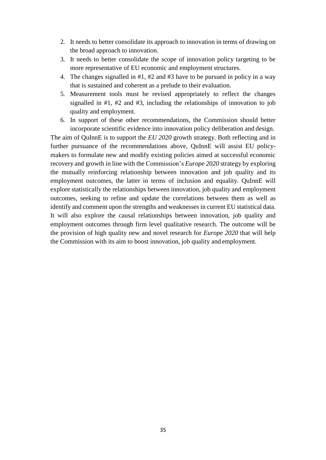- 2. It needs to better consolidate its approach to innovation in terms of drawing on the broad approach to innovation.
- 3. It needs to better consolidate the scope of innovation policy targeting to be more representative of EU economic and employment structures.
- 4. The changes signalled in #1, #2 and #3 have to be pursued in policy in a way that is sustained and coherent as a prelude to their evaluation.
- 5. Measurement tools must be revised appropriately to reflect the changes signalled in #1, #2 and #3, including the relationships of innovation to job quality and employment.
- 6. In support of these other recommendations, the Commission should better incorporate scientific evidence into innovation policy deliberation and design.

The aim of QuInnE is to support the *EU 2020* growth strategy. Both reflecting and in further pursuance of the recommendations above, QuInnE will assist EU policymakers to formulate new and modify existing policies aimed at successful economic recovery and growth in line with the Commission's *Europe 2020* strategy by exploring the mutually reinforcing relationship between innovation and job quality and its employment outcomes, the latter in terms of inclusion and equality. QuInnE will explore statistically the relationships between innovation, job quality and employment outcomes, seeking to refine and update the correlations between them as well as identify and comment upon the strengths and weaknesses in current EU statistical data. It will also explore the causal relationships between innovation, job quality and employment outcomes through firm level qualitative research. The outcome will be the provision of high quality new and novel research for *Europe 2020* that will help the Commission with its aim to boost innovation, job quality and employment.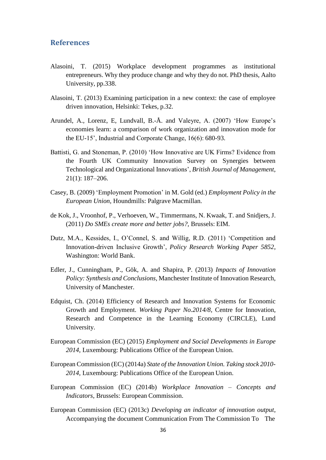#### <span id="page-35-0"></span>**References**

- Alasoini, T. (2015) Workplace development programmes as institutional entrepreneurs. Why they produce change and why they do not. PhD thesis, Aalto University, pp.338.
- Alasoini, T. (2013) Examining participation in a new context: the case of employee driven innovation, Helsinki: Tekes, p.32.
- Arundel, A., Lorenz, E, Lundvall, B.-Å. and Valeyre, A. (2007) 'How Europe's economies learn: a comparison of work organization and innovation mode for the EU-15', Industrial and Corporate Change, 16(6): 680-93.
- Battisti, G. and Stoneman, P. (2010) 'How Innovative are UK Firms? Evidence from the Fourth UK Community Innovation Survey on Synergies between Technological and Organizational Innovations', *British Journal of Management*, 21(1): 187–206.
- Casey, B. (2009) 'Employment Promotion' in M. Gold (ed.) *Employment Policy in the European Union*, Houndmills: Palgrave Macmillan.
- de Kok, J., Vroonhof, P., Verhoeven, W., Timmermans, N. Kwaak, T. and Snidjers, J. (2011) *Do SMEs create more and better jobs?,* Brussels: EIM.
- Dutz, M.A., Kessides, I., O'Connel, S. and Willig, R.D. (2011) 'Competition and Innovation-driven Inclusive Growth', *Policy Research Working Paper 5852*, Washington: World Bank.
- Edler, J., Cunningham, P., Gök, A. and Shapira, P. (2013) *Impacts of Innovation Policy: Synthesis and Conclusions*, Manchester Institute of Innovation Research, University of Manchester.
- Edquist, Ch. (2014) Efficiency of Research and Innovation Systems for Economic Growth and Employment. *Working Paper No.2014/8*, Centre for Innovation, Research and Competence in the Learning Economy (CIRCLE), Lund University.
- European Commission (EC) (2015) *Employment and Social Developments in Europe 2014*, Luxembourg: Publications Office of the European Union.
- European Commission (EC) (2014a) *State of the Innovation Union. Taking stock 2010- 2014*, Luxembourg: Publications Office of the European Union.
- European Commission (EC) (2014b) *Workplace Innovation – Concepts and Indicators*, Brussels: European Commission.
- European Commission (EC) (2013c) *Developing an indicator of innovation output*, Accompanying the document Communication From The Commission To The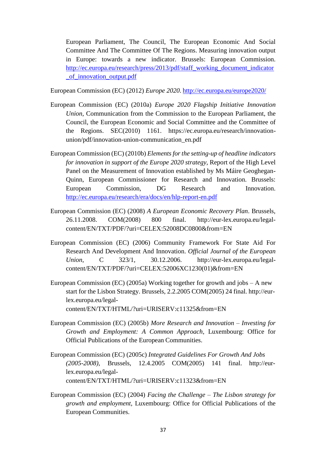European Parliament, The Council, The European Economic And Social Committee And The Committee Of The Regions. Measuring innovation output in Europe: towards a new indicator. Brussels: European Commission. [http://ec.europa.eu/research/press/2013/pdf/staff\\_working\\_document\\_indicator](http://ec.europa.eu/research/press/2013/pdf/staff_working_document_indicator_of_innovation_output.pdf) [\\_of\\_innovation\\_output.pdf](http://ec.europa.eu/research/press/2013/pdf/staff_working_document_indicator_of_innovation_output.pdf)

European Commission (EC) (2012) *Europe 2020*. <http://ec.europa.eu/europe2020/>

- European Commission (EC) (2010a) *Europe 2020 Flagship Initiative Innovation Union*, Communication from the Commission to the European Parliament, the Council, the European Economic and Social Committee and the Committee of the Regions. SEC(2010) 1161. https://ec.europa.eu/research/innovationunion/pdf/innovation-union-communication\_en.pdf
- European Commission (EC) (2010b) *Elements forthe setting-up of headline indicators for innovation in support of the Europe 2020 strategy*, Report of the High Level Panel on the Measurement of Innovation established by Ms Máire Geoghegan-Quinn, European Commissioner for Research and Innovation. Brussels: European Commission, DG Research and Innovation. <http://ec.europa.eu/research/era/docs/en/hlp-report-en.pdf>
- European Commission (EC) (2008) *A European Economic Recovery Plan*. Brussels, 26.11.2008. COM(2008) 800 final. [http://eur-lex.europa.eu/legal](http://eur-lex.europa.eu/legal-)content/EN/TXT/PDF/?uri=CELEX:52008DC0800&from=EN
- European Commission (EC) (2006) Community Framework For State Aid For Research And Development And Innovation. *Official Journal of the European Union*, C 323/1, 30.12.2006. [http://eur-lex.europa.eu/legal](http://eur-lex.europa.eu/legal-)content/EN/TXT/PDF/?uri=CELEX:52006XC1230(01)&from=EN
- European Commission (EC) (2005a) Working together for growth and jobs A new start for the Lisbon Strategy. Brussels, 2.2.2005 COM(2005) 24 final. [http://eur](http://eur-/)lex.europa.eu/legalcontent/EN/TXT/HTML/?uri=URISERV:c11325&from=EN
- European Commission (EC) (2005b) *More Research and Innovation – Investing for Growth and Employment: A Common Approach*, Luxembourg: Office for Official Publications of the European Communities.
- European Commission (EC) (2005c) *Integrated Guidelines For Growth And Jobs (2005-2008)*, Brussels, 12.4.2005 COM(2005) 141 final. [http://eur](http://eur-/)lex.europa.eu/legalcontent/EN/TXT/HTML/?uri=URISERV:c11323&from=EN
- European Commission (EC) (2004) *Facing the Challenge – The Lisbon strategy for growth and employment*, Luxembourg: Office for Official Publications of the European Communities.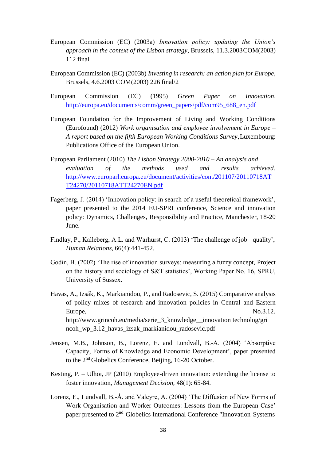- European Commission (EC) (2003a) *Innovation policy: updating the Union's approach in the context of the Lisbon strategy*, Brussels, 11.3.2003COM(2003) 112 final
- European Commission (EC) (2003b) *Investing in research: an action plan for Europe*, Brussels, 4.6.2003 COM(2003) 226 final/2
- European Commission (EC) (1995) *Green Paper on Innovation*. [http://europa.eu/documents/comm/green\\_papers/pdf/com95\\_688\\_en.pdf](http://europa.eu/documents/comm/green_papers/pdf/com95_688_en.pdf)
- European Foundation for the Improvement of Living and Working Conditions (Eurofound) (2012) *Work organisation and employee involvement in Europe – A report based on the fifth European Working Conditions Survey*,Luxembourg: Publications Office of the European Union.
- European Parliament (2010) *The Lisbon Strategy 2000-2010 – An analysis and evaluation of the methods used and results achieved.* [http://www.europarl.europa.eu/document/activities/cont/201107/20110718AT](http://www.europarl.europa.eu/document/activities/cont/201107/20110718ATT24270/20110718ATT24270EN.pdf)  [T24270/20110718ATT24270EN.pdf](http://www.europarl.europa.eu/document/activities/cont/201107/20110718ATT24270/20110718ATT24270EN.pdf)
- Fagerberg, J. (2014) 'Innovation policy: in search of a useful theoretical framework', paper presented to the 2014 EU-SPRI conference, Science and innovation policy: Dynamics, Challenges, Responsibility and Practice, Manchester, 18-20 June.
- Findlay, P., Kalleberg, A.L. and Warhurst, C. (2013) 'The challenge of job quality', *Human Relations*, 66(4):441-452.
- Godin, B. (2002) 'The rise of innovation surveys: measuring a fuzzy concept, Project on the history and sociology of S&T statistics', Working Paper No. 16, SPRU, University of Sussex.
- Havas, A., Izsák, K., Markianidou, P., and Radosevic, S. (2015) Comparative analysis of policy mixes of research and innovation policies in Central and Eastern Europe, No.3.12. [http://www.grincoh.eu/media/serie\\_3\\_knowledge\\_\\_innovation](http://www.grincoh.eu/media/serie_3_knowledge__innovation) technolog/gri ncoh\_wp\_3.12\_havas\_izsak\_markianidou\_radosevic.pdf
- Jensen, M.B., Johnson, B., Lorenz, E. and Lundvall, B.-A. (2004) 'Absorptive Capacity, Forms of Knowledge and Economic Development', paper presented to the 2nd Globelics Conference, Beijing, 16-20 October.
- Kesting, P. Ulhoi, JP (2010) Employee-driven innovation: extending the license to foster innovation, *Management Decision,* 48(1): 65-84.
- Lorenz, E., Lundvall, B.-Å. and Valeyre, A. (2004) 'The Diffusion of New Forms of Work Organisation and Worker Outcomes: Lessons from the European Case' paper presented to 2<sup>nd</sup> Globelics International Conference "Innovation Systems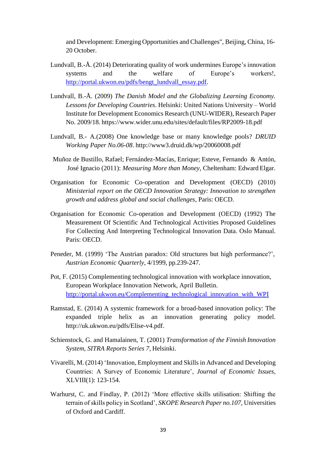and Development: Emerging Opportunities and Challenges", Beijing, China, 16- 20 October.

- Lundvall, B.-Å. (2014) Deteriorating quality of work undermines Europe's innovation systems and the welfare of Europe's workers!, [http://portal.ukwon.eu/pdfs/bengt\\_lundvall\\_essay.pdf.](http://portal.ukwon.eu/pdfs/bengt_lundvall_essay.pdf)
- Lundvall, B.-Å. (2009) *The Danish Model and the Globalizing Learning Economy. Lessons for Developing Countries*. Helsinki: United Nations University – World Institute for Development Economics Research (UNU-WIDER), Research Paper No. 2009/18. https:/[/www.wider.unu.edu/sites/default/files/RP2009-18.pdf](http://www.wider.unu.edu/sites/default/files/RP2009-18.pdf)
- Lundvall, B.- A.(2008) One knowledge base or many knowledge pools? *DRUID Working Paper No.06-08*. <http://www3.druid.dk/wp/20060008.pdf>
- Muñoz de Bustillo, Rafael; Fernández-Macías, Enrique; Esteve, Fernando & Antón, José Ignacio (2011): *Measuring More than Money*, Cheltenham: Edward Elgar.
- Organisation for Economic Co-operation and Development (OECD) (2010) *Ministerial report on the OECD Innovation Strategy: Innovation to strengthen growth and address global and social challenges*, Paris: OECD.
- Organisation for Economic Co-operation and Development (OECD) (1992) The Measurement Of Scientific And Technological Activities Proposed Guidelines For Collecting And Interpreting Technological Innovation Data. Oslo Manual. Paris: OECD.
- Peneder, M. (1999) 'The Austrian paradox: Old structures but high performance?', *Austrian Economic Quarterly*, 4/1999, pp.239-247.
- Pot, F. (2015) Complementing technological innovation with workplace innovation, European Workplace Innovation Network, April Bulletin. [http://portal.ukwon.eu/Complementing\\_technological\\_innovation\\_with\\_WPI](http://portal.ukwon.eu/Complementing_technological_innovation_with_WPI)
- Ramstad, E. (2014) A systemic framework for a broad-based innovation policy: The expanded triple helix as an innovation generating policy model. [http://uk.ukwon.eu/pdfs/Elise-v4.pdf.](http://uk.ukwon.eu/pdfs/Elise-v4.pdf)
- Schienstock, G. and Hamalainen, T. (2001) *Transformation of the Finnish Innovation System*, *SITRA Reports Series 7*, Helsinki.
- Vivarelli, M. (2014) 'Innovation, Employment and Skills in Advanced and Developing Countries: A Survey of Economic Literature', *Journal of Economic Issues*, XLVIII(1): 123-154.
- Warhurst, C. and Findlay, P. (2012) 'More effective skills utilisation: Shifting the terrain of skills policy in Scotland', *SKOPE Research Paper no.107,* Universities of Oxford and Cardiff.